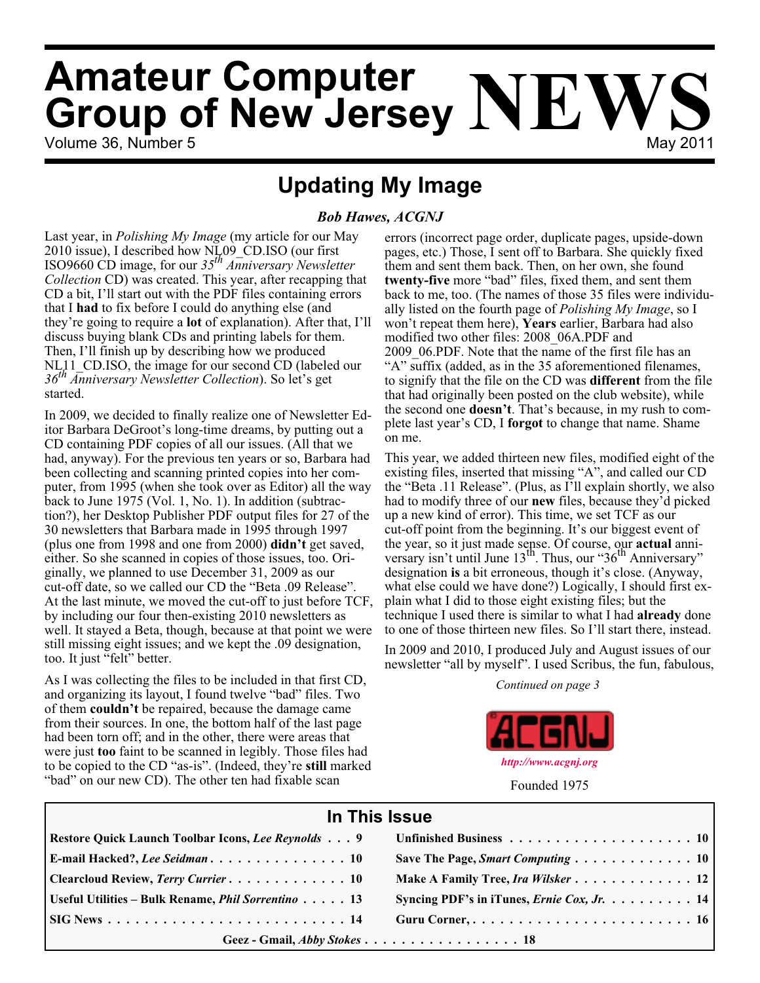# Volume 36, Number 5 May 2011 **Amateur Computer<br>Group of New Jersey NEWS**

**Updating My Image**

#### *Bob Hawes, ACGNJ*

Last year, in *Polishing My Image* (my article for our May 2010 issue), I described how NL09\_CD.ISO (our first ISO9660 CD image, for our *35th Anniversary Newsletter Collection* CD) was created. This year, after recapping that CD a bit, I'll start out with the PDF files containing errors that I **had** to fix before I could do anything else (and they're going to require a **lot** of explanation). After that, I'll discuss buying blank CDs and printing labels for them. Then, I'll finish up by describing how we produced NL11 CD.ISO, the image for our second CD (labeled our *36th Anniversary Newsletter Collection*). So let's get started.

In 2009, we decided to finally realize one of Newsletter Editor Barbara DeGroot's long-time dreams, by putting out a CD containing PDF copies of all our issues. (All that we had, anyway). For the previous ten years or so, Barbara had been collecting and scanning printed copies into her computer, from 1995 (when she took over as Editor) all the way back to June 1975 (Vol. 1, No. 1). In addition (subtraction?), her Desktop Publisher PDF output files for 27 of the 30 newsletters that Barbara made in 1995 through 1997 (plus one from 1998 and one from 2000) **didn't** get saved, either. So she scanned in copies of those issues, too. Originally, we planned to use December 31, 2009 as our cut-off date, so we called our CD the "Beta .09 Release". At the last minute, we moved the cut-off to just before TCF, by including our four then-existing 2010 newsletters as well. It stayed a Beta, though, because at that point we were still missing eight issues; and we kept the .09 designation, too. It just "felt" better.

As I was collecting the files to be included in that first CD, and organizing its layout, I found twelve "bad" files. Two of them **couldn't** be repaired, because the damage came from their sources. In one, the bottom half of the last page had been torn off; and in the other, there were areas that were just **too** faint to be scanned in legibly. Those files had to be copied to the CD "as-is". (Indeed, they're **still** marked "bad" on our new CD). The other ten had fixable scan

errors (incorrect page order, duplicate pages, upside-down pages, etc.) Those, I sent off to Barbara. She quickly fixed them and sent them back. Then, on her own, she found **twenty-five** more "bad" files, fixed them, and sent them back to me, too. (The names of those 35 files were individually listed on the fourth page of *Polishing My Image*, so I won't repeat them here), **Years** earlier, Barbara had also modified two other files: 2008\_06A.PDF and 2009\_06.PDF. Note that the name of the first file has an "A" suffix (added, as in the 35 aforementioned filenames, to signify that the file on the CD was **different** from the file that had originally been posted on the club website), while the second one **doesn't**. That's because, in my rush to complete last year's CD, I **forgot** to change that name. Shame on me.

This year, we added thirteen new files, modified eight of the existing files, inserted that missing "A", and called our CD the "Beta .11 Release". (Plus, as I'll explain shortly, we also had to modify three of our **new** files, because they'd picked up a new kind of error). This time, we set TCF as our cut-off point from the beginning. It's our biggest event of the year, so it just made sense. Of course, our **actual** anniversary isn't until June 13<sup>th</sup>. Thus, our "36<sup>th</sup> Anniversary" designation **is** a bit erroneous, though it's close. (Anyway, what else could we have done?) Logically, I should first explain what I did to those eight existing files; but the technique I used there is similar to what I had **already** done to one of those thirteen new files. So I'll start there, instead.

In 2009 and 2010, I produced July and August issues of our newsletter "all by myself". I used Scribus, the fun, fabulous,

*Continued on page 3*



Founded 1975

| In This Issue                                             |                                                                             |  |  |
|-----------------------------------------------------------|-----------------------------------------------------------------------------|--|--|
| Restore Quick Launch Toolbar Icons, Lee Reynolds 9        |                                                                             |  |  |
| E-mail Hacked?, Lee Seidman 10                            | Save The Page, Smart Computing 10                                           |  |  |
| Clearcloud Review, Terry Currier 10                       | Make A Family Tree, Ira Wilsker 12                                          |  |  |
| Useful Utilities - Bulk Rename, <i>Phil Sorrentino</i> 13 | Syncing PDF's in iTunes, <i>Ernie Cox, Jr.</i> $\dots \dots \dots \dots 14$ |  |  |
|                                                           | Guru Corner,  16                                                            |  |  |
| Geez - Gmail, Abby Stokes 18                              |                                                                             |  |  |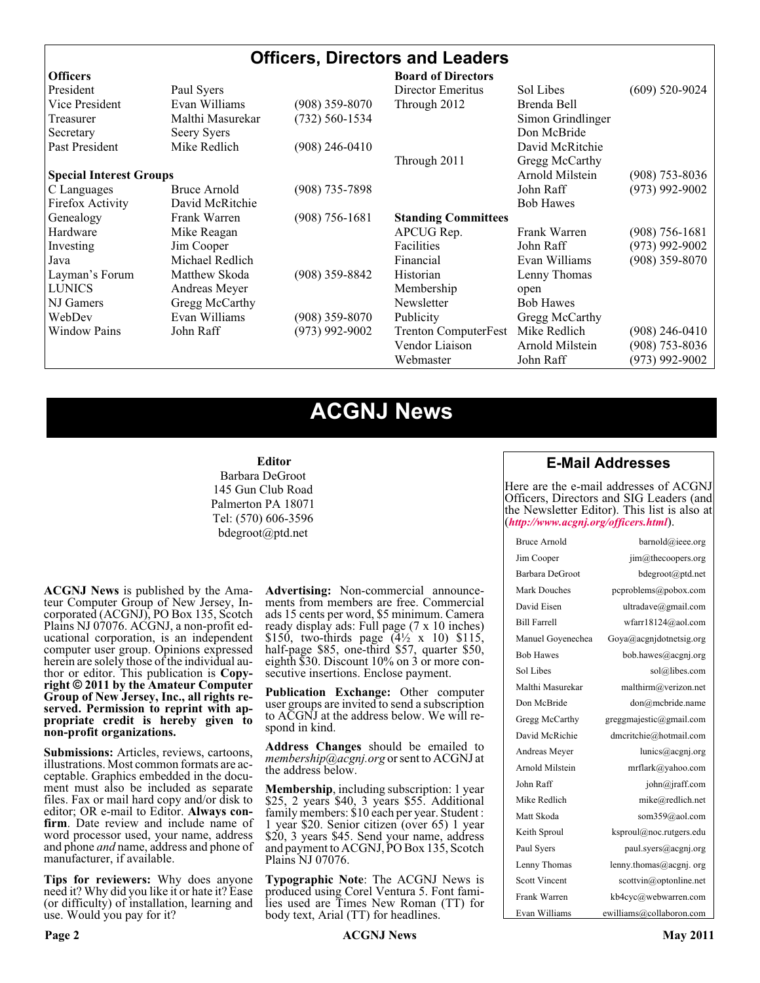### **Officers, Directors and Leaders**

| <b>Officers</b>                |                  |                    | <b>Board of Directors</b>   |                   |                    |
|--------------------------------|------------------|--------------------|-----------------------------|-------------------|--------------------|
| President                      | Paul Syers       |                    | Director Emeritus           | Sol Libes         | $(609)$ 520-9024   |
| Vice President                 | Evan Williams    | $(908)$ 359-8070   | Through 2012                | Brenda Bell       |                    |
| Treasurer                      | Malthi Masurekar | (732) 560-1534     |                             | Simon Grindlinger |                    |
| Secretary                      | Seery Syers      |                    |                             | Don McBride       |                    |
| Past President                 | Mike Redlich     | $(908)$ 246-0410   |                             | David McRitchie   |                    |
|                                |                  |                    | Through 2011                | Gregg McCarthy    |                    |
| <b>Special Interest Groups</b> |                  |                    |                             | Arnold Milstein   | $(908)$ 753-8036   |
| C Languages                    | Bruce Arnold     | $(908)$ 735-7898   |                             | John Raff         | $(973)$ 992-9002   |
| Firefox Activity               | David McRitchie  |                    |                             | <b>Bob Hawes</b>  |                    |
| Genealogy                      | Frank Warren     | $(908) 756 - 1681$ | <b>Standing Committees</b>  |                   |                    |
| Hardware                       | Mike Reagan      |                    | APCUG Rep.                  | Frank Warren      | $(908) 756 - 1681$ |
| Investing                      | Jim Cooper       |                    | Facilities                  | John Raff         | $(973)$ 992-9002   |
| Java                           | Michael Redlich  |                    | Financial                   | Evan Williams     | $(908)$ 359-8070   |
| Layman's Forum                 | Matthew Skoda    | $(908)$ 359-8842   | Historian                   | Lenny Thomas      |                    |
| <b>LUNICS</b>                  | Andreas Meyer    |                    | Membership                  | open              |                    |
| NJ Gamers                      | Gregg McCarthy   |                    | Newsletter                  | <b>Bob Hawes</b>  |                    |
| WebDev                         | Evan Williams    | $(908)$ 359-8070   | Publicity                   | Gregg McCarthy    |                    |
| <b>Window Pains</b>            | John Raff        | $(973)$ 992-9002   | <b>Trenton ComputerFest</b> | Mike Redlich      | $(908)$ 246-0410   |
|                                |                  |                    | Vendor Liaison              | Arnold Milstein   | $(908)$ 753-8036   |
|                                |                  |                    | Webmaster                   | John Raff         | $(973)$ 992-9002   |

# **ACGNJ News**

#### **Editor**

Barbara DeGroot 145 Gun Club Road Palmerton PA 18071 Tel: (570) 606-3596 bdegroot@ptd.net

**ACGNJ News** is published by the Ama- teur Computer Group of New Jersey, In- corporated (ACGNJ), PO Box 135, Scotch Plains NJ 07076. ACGNJ, a non-profit ed- ucational corporation, is an independent computer user group. Opinions expressed herein are solely those of the individual author or editor. This publication is **Copy-**<br>**right**  $\bigcirc$  2011 by the Amateur Computer<br>**Group of New Jersey, Inc., all rights re-Group of New Jersey, Inc., all rights re- served. Permission to reprint with ap- propriate credit is hereby given to non-profit organizations.**

**Submissions:** Articles, reviews, cartoons, illustrations. Most common formats are ac- ceptable. Graphics embedded in the docu- ment must also be included as separate files. Fax or mail hard copy and/or disk to editor; OR e-mail to Editor. Always confirm. Date review and include name of word processor used, your name, address and phone *and* name, address and phone of manufacturer, if available.

**Tips for reviewers:** Why does anyone need it? Why did you like it or hate it? Ease (or difficulty) of installation, learning and use. Would you pay for it?

**Advertising:** Non-commercial announce- ments from members are free. Commercial ads 15 cents per word, \$5 minimum. Camera ready display ads: Full page (7 x 10 inches) \$150, two-thirds page  $(4\frac{1}{2} \times 10)$  \$115, half-page \$85, one-third \$57, quarter \$50, eighth \$30. Discount 10% on 3 or more con- secutive insertions. Enclose payment.

**Publication Exchange:** Other computer user groups are invited to send a subscription to ACGNJ at the address below. We will re- spond in kind.

**Address Changes** should be emailed to *membership@acgnj.org* or sent to ACGNJ at the address below.

**Membership**, including subscription: 1 year \$25, 2 years \$40, 3 years \$55. Additional family members: \$10 each per year. Student : 1 year \$20. Senior citizen (over 65) 1 year \$20, 3 years \$45. Send your name, address and payment to ACGNJ, PO Box 135, Scotch Plains NJ 07076.

**Typographic Note**: The ACGNJ News is produced using Corel Ventura 5. Font fami- lies used are Times New Roman (TT) for body text, Arial (TT) for headlines.

#### **E-Mail Addresses**

Here are the e-mail addresses of ACGNJ Officers, Directors and SIG Leaders (and the Newsletter Editor). This list is also at (*<http://www.acgnj.org/officers.html>*).

| Bruce Arnold         | barnold@ieee.org                     |
|----------------------|--------------------------------------|
| Jim Cooper           | jim@thecoopers.org                   |
| Barbara DeGroot      | bdegroot@ptd.net                     |
| Mark Douches         | pcproblems@pobox.com                 |
| David Eisen          | ultradave@gmail.com                  |
| <b>Bill Farrell</b>  | wfarr18124@aol.com                   |
| Manuel Goyenechea    | Goya@acgnidotnetsig.org              |
| <b>Bob Hawes</b>     | bob.hawes@acgnj.org                  |
| Sol Libes            | sol@libes.com                        |
| Malthi Masurekar     | malthirm@verizon.net                 |
| Don McBride          | don@mcbride.name                     |
| Gregg McCarthy       | greggmajestic@gmail.com              |
| David McRichie       | dmcritchie@hotmail.com               |
| Andreas Meyer        | lunics@acgnj.org                     |
| Arnold Milstein      | mrflark@yahoo.com                    |
| John Raff            | $\overline{\text{iohn}(a)}$ raff.com |
| Mike Redlich         | mike@redlich.net                     |
| Matt Skoda           | som359@aol.com                       |
| Keith Sproul         | ksproul@noc.rutgers.edu              |
| Paul Syers           | paul.syers@acgnj.org                 |
| Lenny Thomas         | lenny.thomas@acgnj.org               |
| <b>Scott Vincent</b> | scottvin@optonline.net               |
| Frank Warren         | kb4cyc@webwarren.com                 |
| Evan Williams        | ewilliams@collaboron.com             |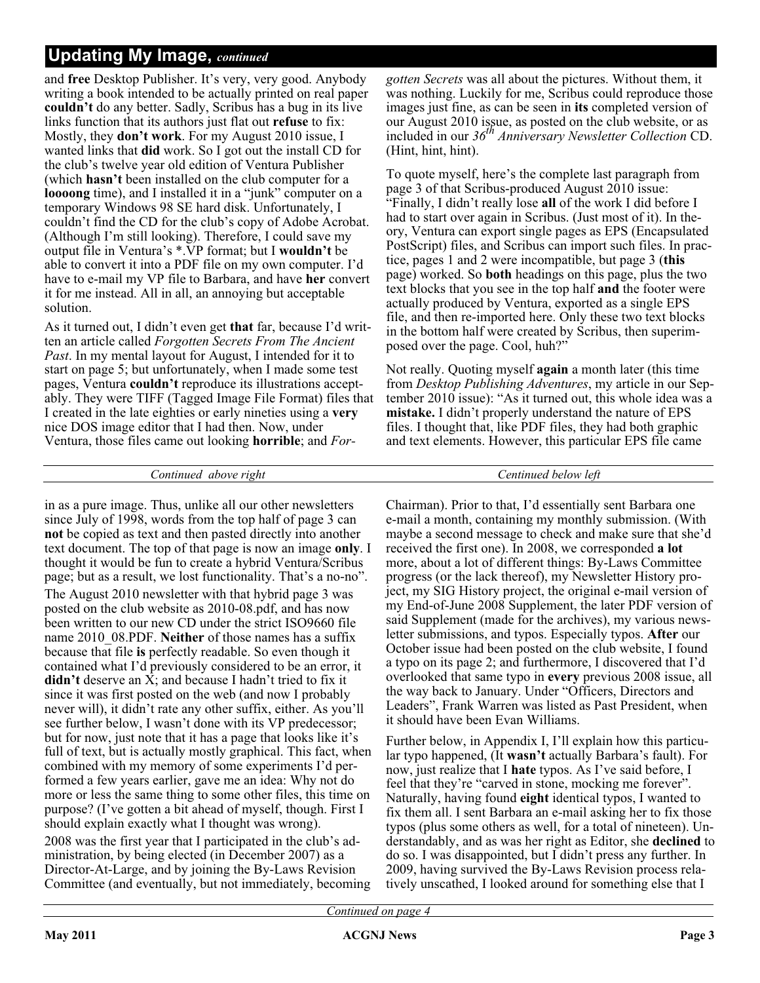and **free** Desktop Publisher. It's very, very good. Anybody writing a book intended to be actually printed on real paper **couldn't** do any better. Sadly, Scribus has a bug in its live links function that its authors just flat out **refuse** to fix: Mostly, they **don't work**. For my August 2010 issue, I wanted links that **did** work. So I got out the install CD for the club's twelve year old edition of Ventura Publisher (which **hasn't** been installed on the club computer for a **loooong** time), and I installed it in a "junk" computer on a temporary Windows 98 SE hard disk. Unfortunately, I couldn't find the CD for the club's copy of Adobe Acrobat. (Although I'm still looking). Therefore, I could save my output file in Ventura's \*.VP format; but I **wouldn't** be able to convert it into a PDF file on my own computer. I'd have to e-mail my VP file to Barbara, and have **her** convert it for me instead. All in all, an annoying but acceptable solution.

As it turned out, I didn't even get **that** far, because I'd written an article called *Forgotten Secrets From The Ancient Past*. In my mental layout for August, I intended for it to start on page 5; but unfortunately, when I made some test pages, Ventura **couldn't** reproduce its illustrations acceptably. They were TIFF (Tagged Image File Format) files that I created in the late eighties or early nineties using a **very** nice DOS image editor that I had then. Now, under Ventura, those files came out looking **horrible**; and *For-*

#### *Continued above right Centinued below left*

in as a pure image. Thus, unlike all our other newsletters since July of 1998, words from the top half of page 3 can **not** be copied as text and then pasted directly into another text document. The top of that page is now an image **only**. I thought it would be fun to create a hybrid Ventura/Scribus page; but as a result, we lost functionality. That's a no-no". The August 2010 newsletter with that hybrid page 3 was posted on the club website as 2010-08.pdf, and has now been written to our new CD under the strict ISO9660 file name 2010\_08.PDF. **Neither** of those names has a suffix because that file **is** perfectly readable. So even though it contained what I'd previously considered to be an error, it **didn't** deserve an X; and because I hadn't tried to fix it since it was first posted on the web (and now I probably never will), it didn't rate any other suffix, either. As you'll see further below, I wasn't done with its VP predecessor; but for now, just note that it has a page that looks like it's full of text, but is actually mostly graphical. This fact, when combined with my memory of some experiments I'd performed a few years earlier, gave me an idea: Why not do more or less the same thing to some other files, this time on purpose? (I've gotten a bit ahead of myself, though. First I should explain exactly what I thought was wrong). 2008 was the first year that I participated in the club's administration, by being elected (in December 2007) as a Director-At-Large, and by joining the By-Laws Revision Committee (and eventually, but not immediately, becoming

*gotten Secrets* was all about the pictures. Without them, it was nothing. Luckily for me, Scribus could reproduce those images just fine, as can be seen in **its** completed version of our August 2010 issue, as posted on the club website, or as included in our *36th Anniversary Newsletter Collection* CD. (Hint, hint, hint).

To quote myself, here's the complete last paragraph from page 3 of that Scribus-produced August 2010 issue: "Finally, I didn't really lose **all** of the work I did before I had to start over again in Scribus. (Just most of it). In theory, Ventura can export single pages as EPS (Encapsulated PostScript) files, and Scribus can import such files. In practice, pages 1 and 2 were incompatible, but page 3 (**this** page) worked. So **both** headings on this page, plus the two text blocks that you see in the top half **and** the footer were actually produced by Ventura, exported as a single EPS file, and then re-imported here. Only these two text blocks in the bottom half were created by Scribus, then superimposed over the page. Cool, huh?"

Not really. Quoting myself **again** a month later (this time from *Desktop Publishing Adventures*, my article in our September 2010 issue): "As it turned out, this whole idea was a **mistake.** I didn't properly understand the nature of EPS files. I thought that, like PDF files, they had both graphic and text elements. However, this particular EPS file came

Chairman). Prior to that, I'd essentially sent Barbara one e-mail a month, containing my monthly submission. (With maybe a second message to check and make sure that she'd received the first one). In 2008, we corresponded **a lot** more, about a lot of different things: By-Laws Committee progress (or the lack thereof), my Newsletter History project, my SIG History project, the original e-mail version of my End-of-June 2008 Supplement, the later PDF version of said Supplement (made for the archives), my various newsletter submissions, and typos. Especially typos. **After** our October issue had been posted on the club website, I found a typo on its page 2; and furthermore, I discovered that I'd overlooked that same typo in **every** previous 2008 issue, all the way back to January. Under "Officers, Directors and Leaders", Frank Warren was listed as Past President, when it should have been Evan Williams.

Further below, in Appendix I, I'll explain how this particular typo happened, (It **wasn't** actually Barbara's fault). For now, just realize that I **hate** typos. As I've said before, I feel that they're "carved in stone, mocking me forever". Naturally, having found **eight** identical typos, I wanted to fix them all. I sent Barbara an e-mail asking her to fix those typos (plus some others as well, for a total of nineteen). Understandably, and as was her right as Editor, she **declined** to do so. I was disappointed, but I didn't press any further. In 2009, having survived the By-Laws Revision process relatively unscathed, I looked around for something else that I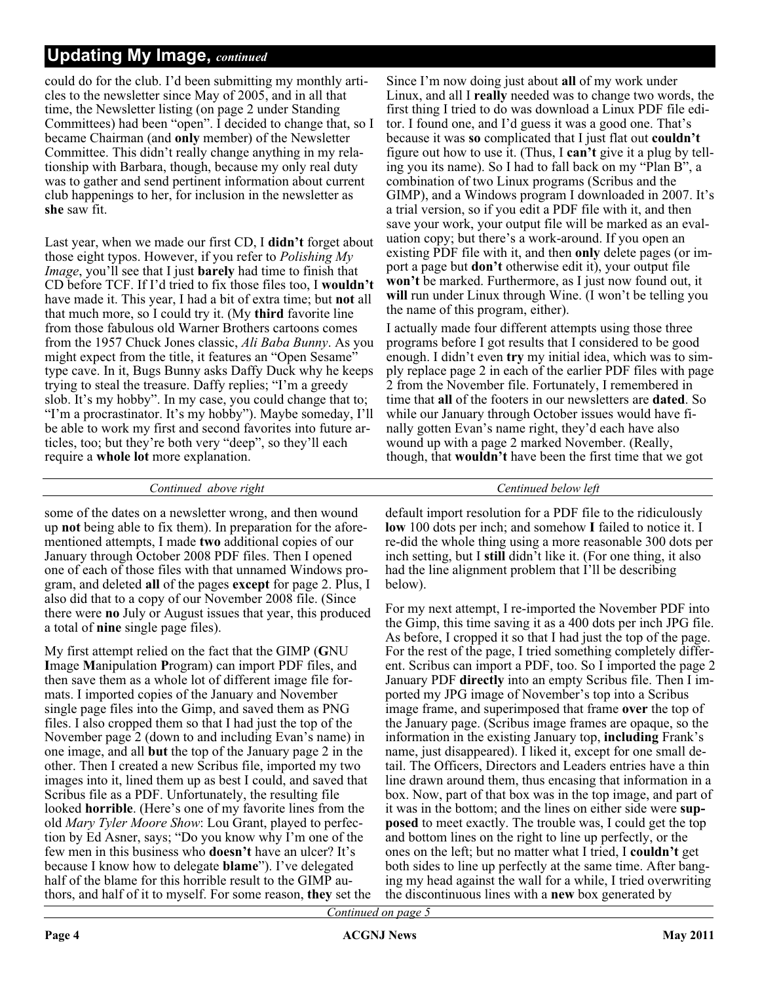could do for the club. I'd been submitting my monthly articles to the newsletter since May of 2005, and in all that time, the Newsletter listing (on page 2 under Standing Committees) had been "open". I decided to change that, so I became Chairman (and **only** member) of the Newsletter Committee. This didn't really change anything in my relationship with Barbara, though, because my only real duty was to gather and send pertinent information about current club happenings to her, for inclusion in the newsletter as **she** saw fit.

Last year, when we made our first CD, I **didn't** forget about those eight typos. However, if you refer to *Polishing My Image*, you'll see that I just **barely** had time to finish that CD before TCF. If I'd tried to fix those files too, I **wouldn't** have made it. This year, I had a bit of extra time; but **not** all that much more, so I could try it. (My **third** favorite line from those fabulous old Warner Brothers cartoons comes from the 1957 Chuck Jones classic, *Ali Baba Bunny*. As you might expect from the title, it features an "Open Sesame" type cave. In it, Bugs Bunny asks Daffy Duck why he keeps trying to steal the treasure. Daffy replies; "I'm a greedy slob. It's my hobby". In my case, you could change that to; "I'm a procrastinator. It's my hobby"). Maybe someday, I'll be able to work my first and second favorites into future articles, too; but they're both very "deep", so they'll each require a **whole lot** more explanation.

Since I'm now doing just about **all** of my work under Linux, and all I **really** needed was to change two words, the first thing I tried to do was download a Linux PDF file editor. I found one, and I'd guess it was a good one. That's because it was **so** complicated that I just flat out **couldn't** figure out how to use it. (Thus, I **can't** give it a plug by telling you its name). So I had to fall back on my "Plan B", a combination of two Linux programs (Scribus and the GIMP), and a Windows program I downloaded in 2007. It's a trial version, so if you edit a PDF file with it, and then save your work, your output file will be marked as an evaluation copy; but there's a work-around. If you open an existing PDF file with it, and then **only** delete pages (or import a page but **don't** otherwise edit it), your output file **won't** be marked. Furthermore, as I just now found out, it **will** run under Linux through Wine. (I won't be telling you the name of this program, either).

I actually made four different attempts using those three programs before I got results that I considered to be good enough. I didn't even **try** my initial idea, which was to simply replace page 2 in each of the earlier PDF files with page 2 from the November file. Fortunately, I remembered in time that **all** of the footers in our newsletters are **dated**. So while our January through October issues would have finally gotten Evan's name right, they'd each have also wound up with a page 2 marked November. (Really, though, that **wouldn't** have been the first time that we got

#### *Continued above right Centinued below left*

some of the dates on a newsletter wrong, and then wound up **not** being able to fix them). In preparation for the aforementioned attempts, I made **two** additional copies of our January through October 2008 PDF files. Then I opened one of each of those files with that unnamed Windows program, and deleted **all** of the pages **except** for page 2. Plus, I also did that to a copy of our November 2008 file. (Since there were **no** July or August issues that year, this produced a total of **nine** single page files).

My first attempt relied on the fact that the GIMP (**G**NU **I**mage **M**anipulation **P**rogram) can import PDF files, and then save them as a whole lot of different image file formats. I imported copies of the January and November single page files into the Gimp, and saved them as PNG files. I also cropped them so that I had just the top of the November page 2 (down to and including Evan's name) in one image, and all **but** the top of the January page 2 in the other. Then I created a new Scribus file, imported my two images into it, lined them up as best I could, and saved that Scribus file as a PDF. Unfortunately, the resulting file looked **horrible**. (Here's one of my favorite lines from the old *Mary Tyler Moore Show*: Lou Grant, played to perfection by Ed Asner, says; "Do you know why I'm one of the few men in this business who **doesn't** have an ulcer? It's because I know how to delegate **blame**"). I've delegated half of the blame for this horrible result to the GIMP authors, and half of it to myself. For some reason, **they** set the default import resolution for a PDF file to the ridiculously **low** 100 dots per inch; and somehow **I** failed to notice it. I re-did the whole thing using a more reasonable 300 dots per inch setting, but I **still** didn't like it. (For one thing, it also had the line alignment problem that I'll be describing below).

For my next attempt, I re-imported the November PDF into the Gimp, this time saving it as a 400 dots per inch JPG file. As before, I cropped it so that I had just the top of the page. For the rest of the page, I tried something completely different. Scribus can import a PDF, too. So I imported the page 2 January PDF **directly** into an empty Scribus file. Then I imported my JPG image of November's top into a Scribus image frame, and superimposed that frame **over** the top of the January page. (Scribus image frames are opaque, so the information in the existing January top, **including** Frank's name, just disappeared). I liked it, except for one small detail. The Officers, Directors and Leaders entries have a thin line drawn around them, thus encasing that information in a box. Now, part of that box was in the top image, and part of it was in the bottom; and the lines on either side were **supposed** to meet exactly. The trouble was, I could get the top and bottom lines on the right to line up perfectly, or the ones on the left; but no matter what I tried, I **couldn't** get both sides to line up perfectly at the same time. After banging my head against the wall for a while, I tried overwriting the discontinuous lines with a **new** box generated by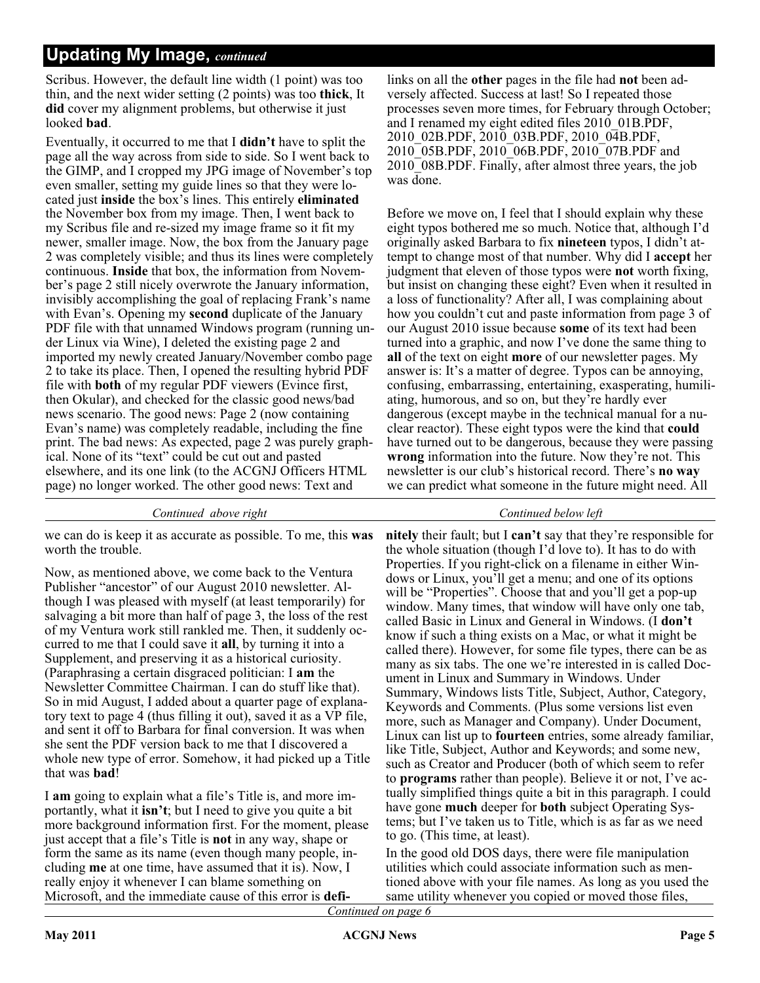Scribus. However, the default line width (1 point) was too thin, and the next wider setting (2 points) was too **thick**, It **did** cover my alignment problems, but otherwise it just looked **bad**.

Eventually, it occurred to me that I **didn't** have to split the page all the way across from side to side. So I went back to the GIMP, and I cropped my JPG image of November's top even smaller, setting my guide lines so that they were located just **inside** the box's lines. This entirely **eliminated** the November box from my image. Then, I went back to my Scribus file and re-sized my image frame so it fit my newer, smaller image. Now, the box from the January page 2 was completely visible; and thus its lines were completely continuous. **Inside** that box, the information from November's page 2 still nicely overwrote the January information, invisibly accomplishing the goal of replacing Frank's name with Evan's. Opening my **second** duplicate of the January PDF file with that unnamed Windows program (running under Linux via Wine), I deleted the existing page 2 and imported my newly created January/November combo page 2 to take its place. Then, I opened the resulting hybrid PDF file with **both** of my regular PDF viewers (Evince first, then Okular), and checked for the classic good news/bad news scenario. The good news: Page 2 (now containing Evan's name) was completely readable, including the fine print. The bad news: As expected, page 2 was purely graphical. None of its "text" could be cut out and pasted elsewhere, and its one link (to the ACGNJ Officers HTML page) no longer worked. The other good news: Text and

*Continued above right Continued below left*

we can do is keep it as accurate as possible. To me, this **was** worth the trouble.

Now, as mentioned above, we come back to the Ventura Publisher "ancestor" of our August 2010 newsletter. Although I was pleased with myself (at least temporarily) for salvaging a bit more than half of page 3, the loss of the rest of my Ventura work still rankled me. Then, it suddenly occurred to me that I could save it **all**, by turning it into a Supplement, and preserving it as a historical curiosity. (Paraphrasing a certain disgraced politician: I **am** the Newsletter Committee Chairman. I can do stuff like that). So in mid August, I added about a quarter page of explanatory text to page 4 (thus filling it out), saved it as a VP file, and sent it off to Barbara for final conversion. It was when she sent the PDF version back to me that I discovered a whole new type of error. Somehow, it had picked up a Title that was **bad**!

I **am** going to explain what a file's Title is, and more importantly, what it **isn't**; but I need to give you quite a bit more background information first. For the moment, please just accept that a file's Title is **not** in any way, shape or form the same as its name (even though many people, including **me** at one time, have assumed that it is). Now, I really enjoy it whenever I can blame something on Microsoft, and the immediate cause of this error is **defi-**

links on all the **other** pages in the file had **not** been adversely affected. Success at last! So I repeated those processes seven more times, for February through October; and I renamed my eight edited files 2010\_01B.PDF, 2010\_02B.PDF, 2010\_03B.PDF, 2010\_04B.PDF, 2010\_05B.PDF, 2010\_06B.PDF, 2010\_07B.PDF and 2010 08B.PDF. Finally, after almost three years, the job was done.

Before we move on, I feel that I should explain why these eight typos bothered me so much. Notice that, although I'd originally asked Barbara to fix **nineteen** typos, I didn't attempt to change most of that number. Why did I **accept** her judgment that eleven of those typos were **not** worth fixing, but insist on changing these eight? Even when it resulted in a loss of functionality? After all, I was complaining about how you couldn't cut and paste information from page 3 of our August 2010 issue because **some** of its text had been turned into a graphic, and now I've done the same thing to **all** of the text on eight **more** of our newsletter pages. My answer is: It's a matter of degree. Typos can be annoying, confusing, embarrassing, entertaining, exasperating, humiliating, humorous, and so on, but they're hardly ever dangerous (except maybe in the technical manual for a nuclear reactor). These eight typos were the kind that **could** have turned out to be dangerous, because they were passing **wrong** information into the future. Now they're not. This newsletter is our club's historical record. There's **no way** we can predict what someone in the future might need. All

**nitely** their fault; but I **can't** say that they're responsible for the whole situation (though I'd love to). It has to do with Properties. If you right-click on a filename in either Windows or Linux, you'll get a menu; and one of its options will be "Properties". Choose that and you'll get a pop-up window. Many times, that window will have only one tab, called Basic in Linux and General in Windows. (I **don't** know if such a thing exists on a Mac, or what it might be called there). However, for some file types, there can be as many as six tabs. The one we're interested in is called Document in Linux and Summary in Windows. Under Summary, Windows lists Title, Subject, Author, Category, Keywords and Comments. (Plus some versions list even more, such as Manager and Company). Under Document, Linux can list up to **fourteen** entries, some already familiar, like Title, Subject, Author and Keywords; and some new, such as Creator and Producer (both of which seem to refer to **programs** rather than people). Believe it or not, I've actually simplified things quite a bit in this paragraph. I could have gone **much** deeper for **both** subject Operating Systems; but I've taken us to Title, which is as far as we need to go. (This time, at least).

In the good old DOS days, there were file manipulation utilities which could associate information such as mentioned above with your file names. As long as you used the same utility whenever you copied or moved those files,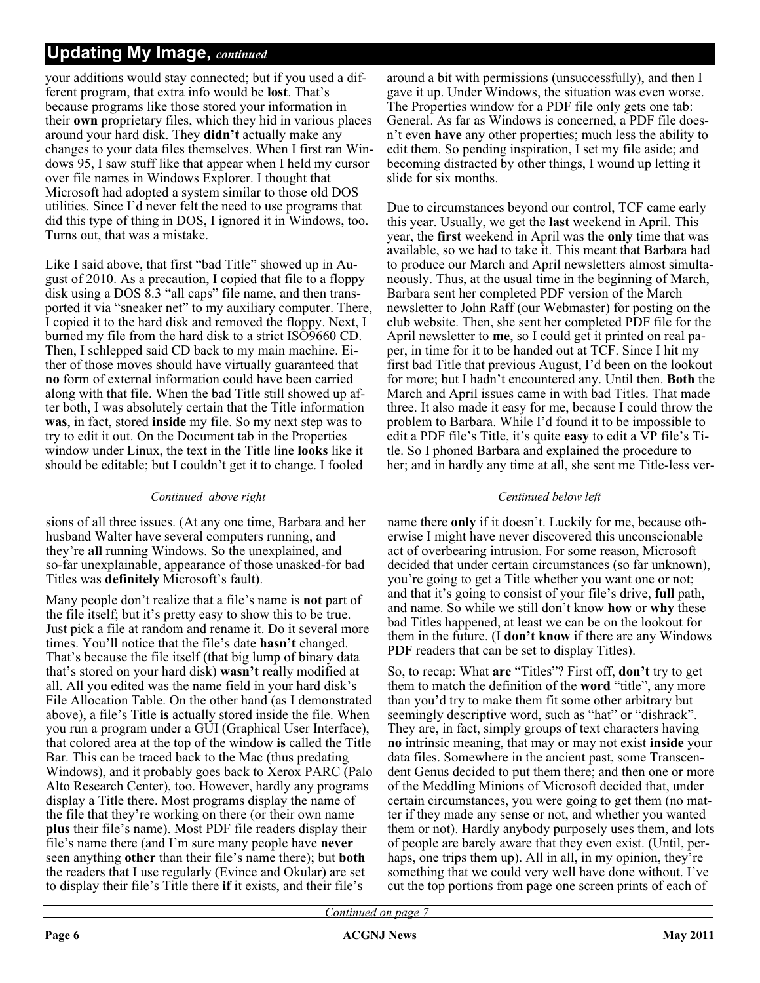your additions would stay connected; but if you used a different program, that extra info would be **lost**. That's because programs like those stored your information in their **own** proprietary files, which they hid in various places around your hard disk. They **didn't** actually make any changes to your data files themselves. When I first ran Windows 95, I saw stuff like that appear when I held my cursor over file names in Windows Explorer. I thought that Microsoft had adopted a system similar to those old DOS utilities. Since I'd never felt the need to use programs that did this type of thing in DOS, I ignored it in Windows, too. Turns out, that was a mistake.

Like I said above, that first "bad Title" showed up in August of 2010. As a precaution, I copied that file to a floppy disk using a DOS 8.3 "all caps" file name, and then transported it via "sneaker net" to my auxiliary computer. There, I copied it to the hard disk and removed the floppy. Next, I burned my file from the hard disk to a strict ISO9660 CD. Then, I schlepped said CD back to my main machine. Either of those moves should have virtually guaranteed that **no** form of external information could have been carried along with that file. When the bad Title still showed up after both, I was absolutely certain that the Title information **was**, in fact, stored **inside** my file. So my next step was to try to edit it out. On the Document tab in the Properties window under Linux, the text in the Title line **looks** like it should be editable; but I couldn't get it to change. I fooled

*Continued above right Centinued below left*

sions of all three issues. (At any one time, Barbara and her husband Walter have several computers running, and they're **all** running Windows. So the unexplained, and so-far unexplainable, appearance of those unasked-for bad Titles was **definitely** Microsoft's fault).

Many people don't realize that a file's name is **not** part of the file itself; but it's pretty easy to show this to be true. Just pick a file at random and rename it. Do it several more times. You'll notice that the file's date **hasn't** changed. That's because the file itself (that big lump of binary data that's stored on your hard disk) **wasn't** really modified at all. All you edited was the name field in your hard disk's File Allocation Table. On the other hand (as I demonstrated above), a file's Title **is** actually stored inside the file. When you run a program under a GUI (Graphical User Interface), that colored area at the top of the window **is** called the Title Bar. This can be traced back to the Mac (thus predating Windows), and it probably goes back to Xerox PARC (Palo Alto Research Center), too. However, hardly any programs display a Title there. Most programs display the name of the file that they're working on there (or their own name **plus** their file's name). Most PDF file readers display their file's name there (and I'm sure many people have **never** seen anything **other** than their file's name there); but **both** the readers that I use regularly (Evince and Okular) are set to display their file's Title there **if** it exists, and their file's

around a bit with permissions (unsuccessfully), and then I gave it up. Under Windows, the situation was even worse. The Properties window for a PDF file only gets one tab: General. As far as Windows is concerned, a PDF file doesn't even **have** any other properties; much less the ability to edit them. So pending inspiration, I set my file aside; and becoming distracted by other things, I wound up letting it slide for six months.

Due to circumstances beyond our control, TCF came early this year. Usually, we get the **last** weekend in April. This year, the **first** weekend in April was the **only** time that was available, so we had to take it. This meant that Barbara had to produce our March and April newsletters almost simultaneously. Thus, at the usual time in the beginning of March, Barbara sent her completed PDF version of the March newsletter to John Raff (our Webmaster) for posting on the club website. Then, she sent her completed PDF file for the April newsletter to **me**, so I could get it printed on real paper, in time for it to be handed out at TCF. Since I hit my first bad Title that previous August, I'd been on the lookout for more; but I hadn't encountered any. Until then. **Both** the March and April issues came in with bad Titles. That made three. It also made it easy for me, because I could throw the problem to Barbara. While I'd found it to be impossible to edit a PDF file's Title, it's quite **easy** to edit a VP file's Title. So I phoned Barbara and explained the procedure to her; and in hardly any time at all, she sent me Title-less ver-

name there **only** if it doesn't. Luckily for me, because otherwise I might have never discovered this unconscionable act of overbearing intrusion. For some reason, Microsoft decided that under certain circumstances (so far unknown), you're going to get a Title whether you want one or not; and that it's going to consist of your file's drive, **full** path, and name. So while we still don't know **how** or **why** these bad Titles happened, at least we can be on the lookout for them in the future. (I **don't know** if there are any Windows PDF readers that can be set to display Titles).

So, to recap: What **are** "Titles"? First off, **don't** try to get them to match the definition of the **word** "title", any more than you'd try to make them fit some other arbitrary but seemingly descriptive word, such as "hat" or "dishrack". They are, in fact, simply groups of text characters having **no** intrinsic meaning, that may or may not exist **inside** your data files. Somewhere in the ancient past, some Transcendent Genus decided to put them there; and then one or more of the Meddling Minions of Microsoft decided that, under certain circumstances, you were going to get them (no matter if they made any sense or not, and whether you wanted them or not). Hardly anybody purposely uses them, and lots of people are barely aware that they even exist. (Until, perhaps, one trips them up). All in all, in my opinion, they're something that we could very well have done without. I've cut the top portions from page one screen prints of each of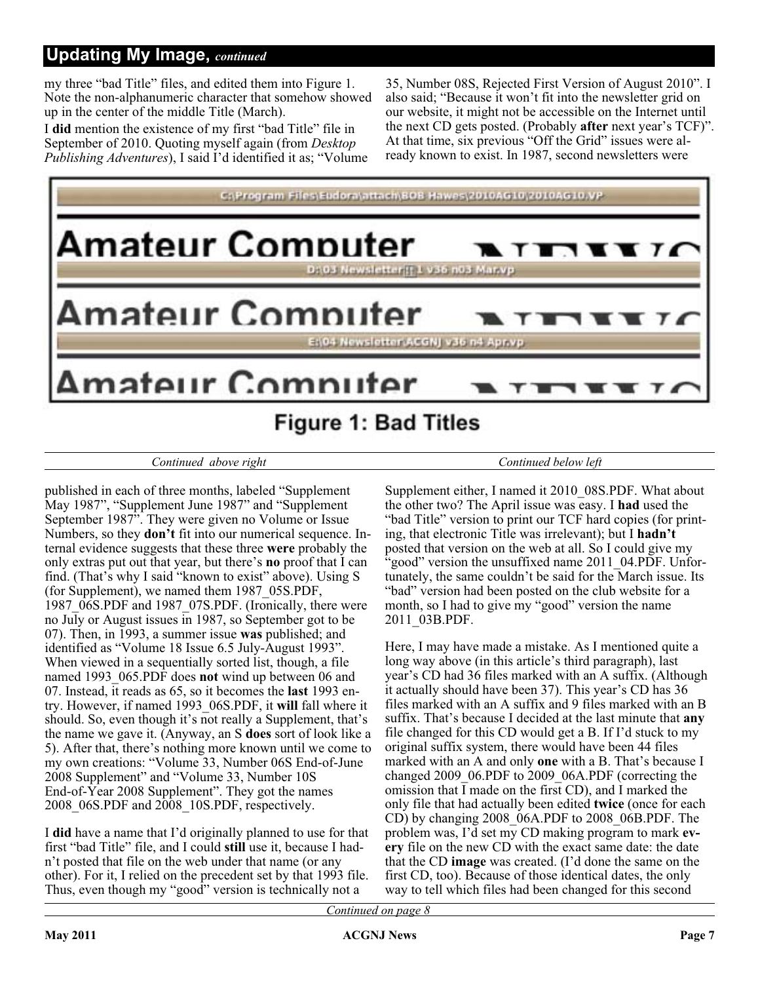my three "bad Title" files, and edited them into Figure 1. Note the non-alphanumeric character that somehow showed up in the center of the middle Title (March).

I **did** mention the existence of my first "bad Title" file in September of 2010. Quoting myself again (from *Desktop Publishing Adventures*), I said I'd identified it as; "Volume

35, Number 08S, Rejected First Version of August 2010". I also said; "Because it won't fit into the newsletter grid on our website, it might not be accessible on the Internet until the next CD gets posted. (Probably **after** next year's TCF)". At that time, six previous "Off the Grid" issues were already known to exist. In 1987, second newsletters were



#### *Continued above right Continued below left*

published in each of three months, labeled "Supplement May 1987", "Supplement June 1987" and "Supplement September 1987". They were given no Volume or Issue Numbers, so they **don't** fit into our numerical sequence. Internal evidence suggests that these three **were** probably the only extras put out that year, but there's **no** proof that I can find. (That's why I said "known to exist" above). Using S (for Supplement), we named them 1987\_05S.PDF, 1987\_06S.PDF and 1987\_07S.PDF. (Ironically, there were no July or August issues in 1987, so September got to be 07). Then, in 1993, a summer issue **was** published; and identified as "Volume 18 Issue 6.5 July-August 1993". When viewed in a sequentially sorted list, though, a file named 1993\_065.PDF does **not** wind up between 06 and 07. Instead, it reads as 65, so it becomes the **last** 1993 entry. However, if named 1993\_06S.PDF, it **will** fall where it should. So, even though it's not really a Supplement, that's the name we gave it. (Anyway, an S **does** sort of look like a 5). After that, there's nothing more known until we come to my own creations: "Volume 33, Number 06S End-of-June 2008 Supplement" and "Volume 33, Number 10S End-of-Year 2008 Supplement". They got the names 2008\_06S.PDF and 2008\_10S.PDF, respectively.

I **did** have a name that I'd originally planned to use for that first "bad Title" file, and I could **still** use it, because I hadn't posted that file on the web under that name (or any other). For it, I relied on the precedent set by that 1993 file. Thus, even though my "good" version is technically not a

Supplement either, I named it 2010\_08S.PDF. What about the other two? The April issue was easy. I **had** used the "bad Title" version to print our TCF hard copies (for printing, that electronic Title was irrelevant); but I **hadn't** posted that version on the web at all. So I could give my "good" version the unsuffixed name 2011\_04.PDF. Unfortunately, the same couldn't be said for the March issue. Its "bad" version had been posted on the club website for a month, so I had to give my "good" version the name 2011\_03B.PDF.

Here, I may have made a mistake. As I mentioned quite a long way above (in this article's third paragraph), last year's CD had 36 files marked with an A suffix. (Although it actually should have been 37). This year's CD has 36 files marked with an A suffix and 9 files marked with an B suffix. That's because I decided at the last minute that **any** file changed for this CD would get a B. If I'd stuck to my original suffix system, there would have been 44 files marked with an A and only **one** with a B. That's because I changed 2009\_06.PDF to 2009\_06A.PDF (correcting the omission that I made on the first CD), and I marked the only file that had actually been edited **twice** (once for each CD) by changing 2008\_06A.PDF to 2008\_06B.PDF. The problem was, I'd set my CD making program to mark **every** file on the new CD with the exact same date: the date that the CD **image** was created. (I'd done the same on the first CD, too). Because of those identical dates, the only way to tell which files had been changed for this second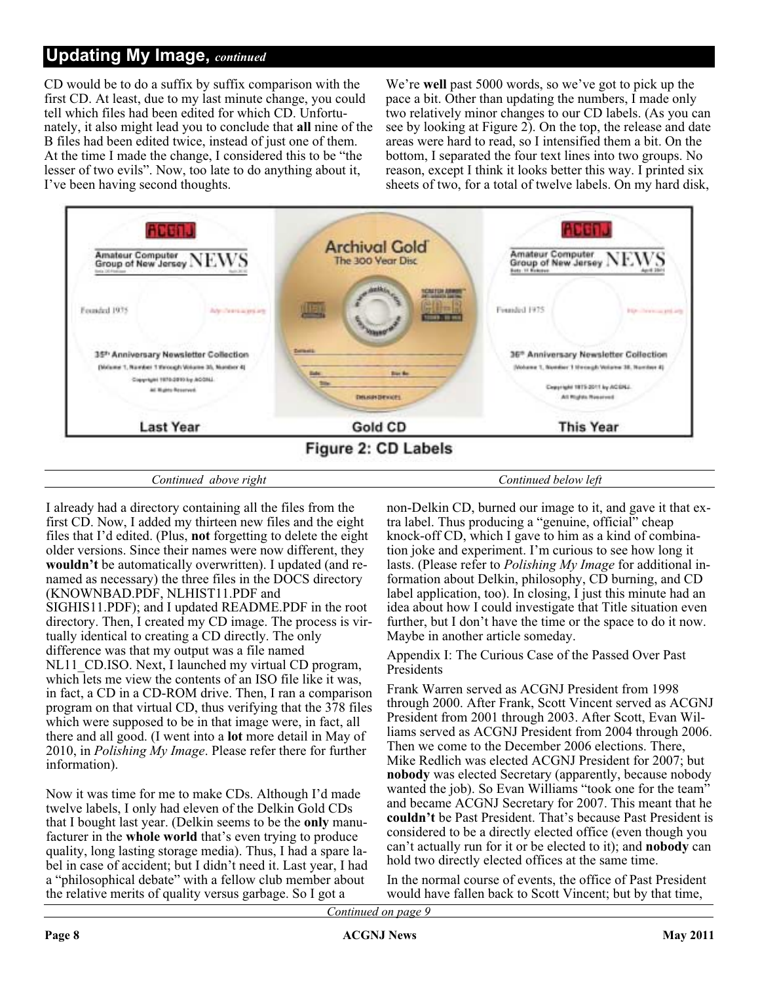CD would be to do a suffix by suffix comparison with the first CD. At least, due to my last minute change, you could tell which files had been edited for which CD. Unfortunately, it also might lead you to conclude that **all** nine of the B files had been edited twice, instead of just one of them. At the time I made the change, I considered this to be "the lesser of two evils". Now, too late to do anything about it, I've been having second thoughts.

We're **well** past 5000 words, so we've got to pick up the pace a bit. Other than updating the numbers, I made only two relatively minor changes to our CD labels. (As you can see by looking at Figure 2). On the top, the release and date areas were hard to read, so I intensified them a bit. On the bottom, I separated the four text lines into two groups. No reason, except I think it looks better this way. I printed six sheets of two, for a total of twelve labels. On my hard disk,



*Continued above right Continued below left*

I already had a directory containing all the files from the first CD. Now, I added my thirteen new files and the eight files that I'd edited. (Plus, **not** forgetting to delete the eight older versions. Since their names were now different, they **wouldn't** be automatically overwritten). I updated (and renamed as necessary) the three files in the DOCS directory (KNOWNBAD.PDF, NLHIST11.PDF and SIGHIS11.PDF); and I updated README.PDF in the root directory. Then, I created my CD image. The process is virtually identical to creating a CD directly. The only difference was that my output was a file named NL11\_CD.ISO. Next, I launched my virtual CD program, which lets me view the contents of an ISO file like it was, in fact, a CD in a CD-ROM drive. Then, I ran a comparison program on that virtual CD, thus verifying that the 378 files which were supposed to be in that image were, in fact, all there and all good. (I went into a **lot** more detail in May of 2010, in *Polishing My Image*. Please refer there for further information).

Now it was time for me to make CDs. Although I'd made twelve labels, I only had eleven of the Delkin Gold CDs that I bought last year. (Delkin seems to be the **only** manufacturer in the **whole world** that's even trying to produce quality, long lasting storage media). Thus, I had a spare label in case of accident; but I didn't need it. Last year, I had a "philosophical debate" with a fellow club member about the relative merits of quality versus garbage. So I got a

non-Delkin CD, burned our image to it, and gave it that extra label. Thus producing a "genuine, official" cheap knock-off CD, which I gave to him as a kind of combination joke and experiment. I'm curious to see how long it lasts. (Please refer to *Polishing My Image* for additional information about Delkin, philosophy, CD burning, and CD label application, too). In closing, I just this minute had an idea about how I could investigate that Title situation even further, but I don't have the time or the space to do it now. Maybe in another article someday.

Appendix I: The Curious Case of the Passed Over Past **Presidents** 

Frank Warren served as ACGNJ President from 1998 through 2000. After Frank, Scott Vincent served as ACGNJ President from 2001 through 2003. After Scott, Evan Williams served as ACGNJ President from 2004 through 2006. Then we come to the December 2006 elections. There, Mike Redlich was elected ACGNJ President for 2007; but **nobody** was elected Secretary (apparently, because nobody wanted the job). So Evan Williams "took one for the team" and became ACGNJ Secretary for 2007. This meant that he **couldn't** be Past President. That's because Past President is considered to be a directly elected office (even though you can't actually run for it or be elected to it); and **nobody** can hold two directly elected offices at the same time.

In the normal course of events, the office of Past President would have fallen back to Scott Vincent; but by that time,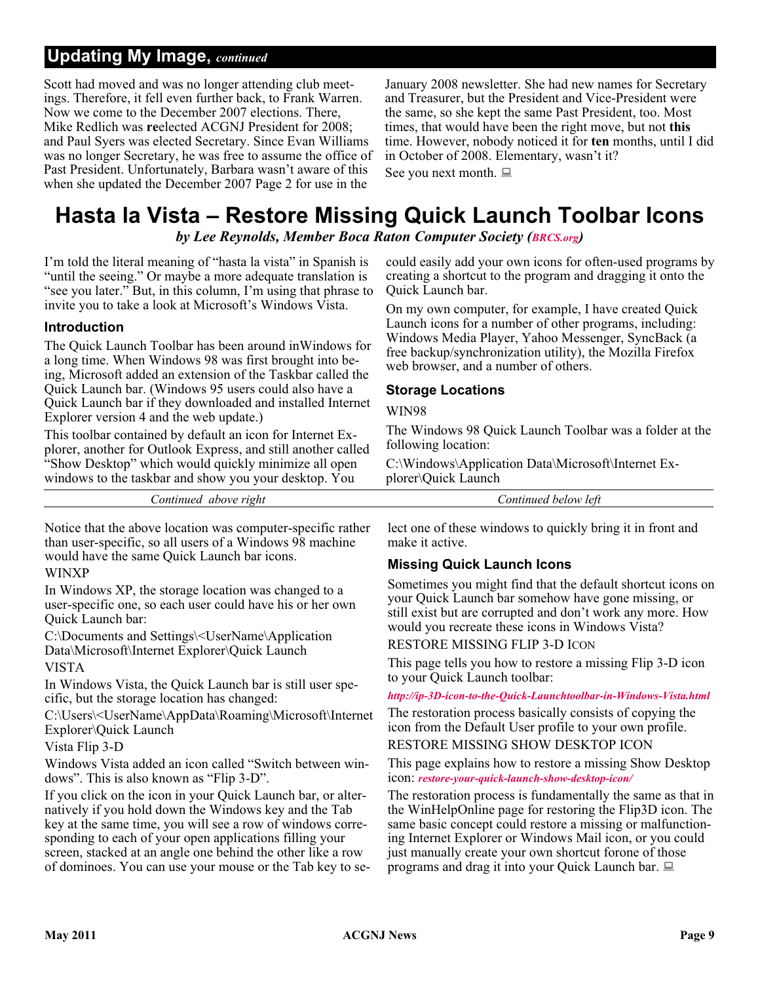Scott had moved and was no longer attending club meetings. Therefore, it fell even further back, to Frank Warren. Now we come to the December 2007 elections. There, Mike Redlich was **re**elected ACGNJ President for 2008; and Paul Syers was elected Secretary. Since Evan Williams was no longer Secretary, he was free to assume the office of Past President. Unfortunately, Barbara wasn't aware of this when she updated the December 2007 Page 2 for use in the

January 2008 newsletter. She had new names for Secretary and Treasurer, but the President and Vice-President were the same, so she kept the same Past President, too. Most times, that would have been the right move, but not **this** time. However, nobody noticed it for **ten** months, until I did in October of 2008. Elementary, wasn't it? See you next month.

# **Hasta la Vista – Restore Missing Quick Launch Toolbar Icons**

*by Lee Reynolds, Member Boca Raton Computer Society ([BRCS.org](http://BRCS.org))*

I'm told the literal meaning of "hasta la vista" in Spanish is "until the seeing." Or maybe a more adequate translation is "see you later." But, in this column, I'm using that phrase to invite you to take a look at Microsoft's Windows Vista.

#### **Introduction**

The Quick Launch Toolbar has been around inWindows for a long time. When Windows 98 was first brought into being, Microsoft added an extension of the Taskbar called the Quick Launch bar. (Windows 95 users could also have a Quick Launch bar if they downloaded and installed Internet Explorer version 4 and the web update.)

This toolbar contained by default an icon for Internet Explorer, another for Outlook Express, and still another called "Show Desktop" which would quickly minimize all open windows to the taskbar and show you your desktop. You

*Continued above right Continued below left*

Notice that the above location was computer-specific rather than user-specific, so all users of a Windows 98 machine would have the same Quick Launch bar icons.

#### WINXP

In Windows XP, the storage location was changed to a user-specific one, so each user could have his or her own Quick Launch bar:

C:\Documents and Settings\<UserName\Application Data\Microsoft\Internet Explorer\Quick Launch

#### VISTA

In Windows Vista, the Quick Launch bar is still user specific, but the storage location has changed:

C:\Users\<UserName\AppData\Roaming\Microsoft\Internet Explorer\Quick Launch

#### Vista Flip 3-D

Windows Vista added an icon called "Switch between windows". This is also known as "Flip 3-D".

If you click on the icon in your Quick Launch bar, or alternatively if you hold down the Windows key and the Tab key at the same time, you will see a row of windows corresponding to each of your open applications filling your screen, stacked at an angle one behind the other like a row of dominoes. You can use your mouse or the Tab key to se-

could easily add your own icons for often-used programs by creating a shortcut to the program and dragging it onto the Quick Launch bar.

On my own computer, for example, I have created Quick Launch icons for a number of other programs, including: Windows Media Player, Yahoo Messenger, SyncBack (a free backup/synchronization utility), the Mozilla Firefox web browser, and a number of others.

#### **Storage Locations**

#### WIN98

The Windows 98 Quick Launch Toolbar was a folder at the following location:

C:\Windows\Application Data\Microsoft\Internet Explorer\Quick Launch

lect one of these windows to quickly bring it in front and make it active.

#### **Missing Quick Launch Icons**

Sometimes you might find that the default shortcut icons on your Quick Launch bar somehow have gone missing, or still exist but are corrupted and don't work any more. How would you recreate these icons in Windows Vista?

RESTORE MISSING FLIP 3-D ICON

This page tells you how to restore a missing Flip 3-D icon to your Quick Launch toolbar:

#### *[http://ip-3D-icon-to-the-Quick-Launchtoolbar-in-Windows-Vista.html](http://www.winhelponline.com/articles/136/1/How-torestore-missing-Flip-3D-icon-to-the-Quick-Launchtoolbar-in-Windows-Vista.html)*

The restoration process basically consists of copying the icon from the Default User profile to your own profile.

RESTORE MISSING SHOW DESKTOP ICON

This page explains how to restore a missing Show Desktop icon: *[restore-your-quick-launch-show-desktop-icon/](http://itsvista.com/2007/06/itsvista-tip-58-restore-your-quick-launch-show-desktop-icon/)*

The restoration process is fundamentally the same as that in the WinHelpOnline page for restoring the Flip3D icon. The same basic concept could restore a missing or malfunctioning Internet Explorer or Windows Mail icon, or you could just manually create your own shortcut forone of those programs and drag it into your Quick Launch bar.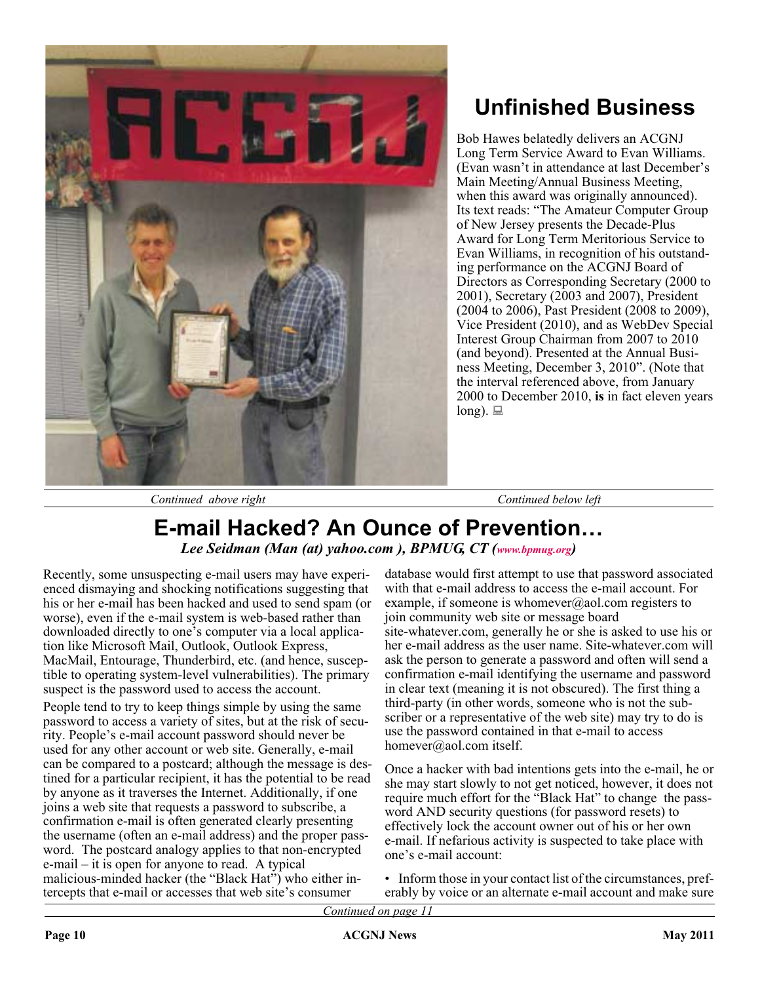

# **Unfinished Business**

Bob Hawes belatedly delivers an ACGNJ Long Term Service Award to Evan Williams. (Evan wasn't in attendance at last December's Main Meeting/Annual Business Meeting, when this award was originally announced). Its text reads: "The Amateur Computer Group of New Jersey presents the Decade-Plus Award for Long Term Meritorious Service to Evan Williams, in recognition of his outstanding performance on the ACGNJ Board of Directors as Corresponding Secretary (2000 to 2001), Secretary (2003 and 2007), President (2004 to 2006), Past President (2008 to 2009), Vice President (2010), and as WebDev Special Interest Group Chairman from 2007 to 2010 (and beyond). Presented at the Annual Business Meeting, December 3, 2010". (Note that the interval referenced above, from January 2000 to December 2010, **is** in fact eleven years long).  $\Box$ 

*Continued above right Continued below left*

# **E-mail Hacked? An Ounce of Prevention…** *Lee Seidman (Man (at) yahoo.com ), BPMUG, CT [\(www.bpmug.org\)](http://www.bpmug.org)*

Recently, some unsuspecting e-mail users may have experienced dismaying and shocking notifications suggesting that his or her e-mail has been hacked and used to send spam (or worse), even if the e-mail system is web-based rather than downloaded directly to one's computer via a local application like Microsoft Mail, Outlook, Outlook Express, MacMail, Entourage, Thunderbird, etc. (and hence, susceptible to operating system-level vulnerabilities). The primary suspect is the password used to access the account.

People tend to try to keep things simple by using the same password to access a variety of sites, but at the risk of security. People's e-mail account password should never be used for any other account or web site. Generally, e-mail can be compared to a postcard; although the message is destined for a particular recipient, it has the potential to be read by anyone as it traverses the Internet. Additionally, if one joins a web site that requests a password to subscribe, a confirmation e-mail is often generated clearly presenting the username (often an e-mail address) and the proper password. The postcard analogy applies to that non-encrypted e-mail – it is open for anyone to read. A typical malicious-minded hacker (the "Black Hat") who either intercepts that e-mail or accesses that web site's consumer

database would first attempt to use that password associated with that e-mail address to access the e-mail account. For example, if someone is whomever@aol.com registers to join community web site or message board site-whatever.com, generally he or she is asked to use his or her e-mail address as the user name. Site-whatever.com will ask the person to generate a password and often will send a confirmation e-mail identifying the username and password in clear text (meaning it is not obscured). The first thing a third-party (in other words, someone who is not the subscriber or a representative of the web site) may try to do is use the password contained in that e-mail to access homever@aol.com itself.

Once a hacker with bad intentions gets into the e-mail, he or she may start slowly to not get noticed, however, it does not require much effort for the "Black Hat" to change the password AND security questions (for password resets) to effectively lock the account owner out of his or her own e-mail. If nefarious activity is suspected to take place with one's e-mail account:

• Inform those in your contact list of the circumstances, preferably by voice or an alternate e-mail account and make sure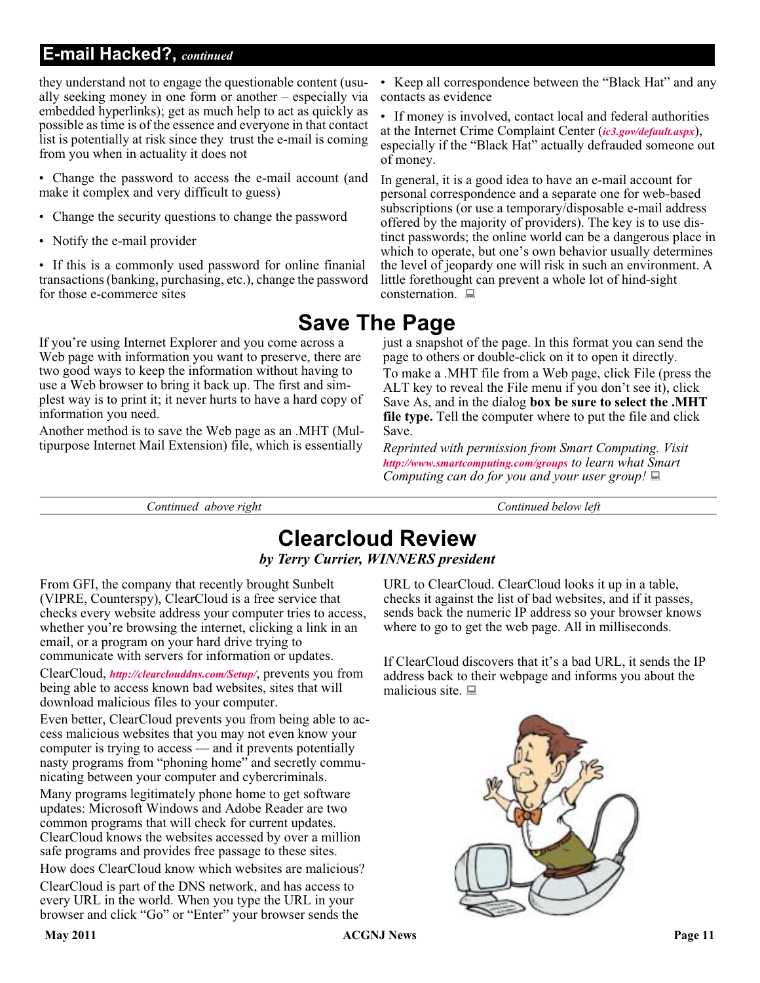### **E-mail Hacked?,** *continued*

they understand not to engage the questionable content (usually seeking money in one form or another – especially via embedded hyperlinks); get as much help to act as quickly as possible as time is of the essence and everyone in that contact list is potentially at risk since they trust the e-mail is coming from you when in actuality it does not

- Change the password to access the e-mail account (and make it complex and very difficult to guess)
- Change the security questions to change the password
- Notify the e-mail provider

• If this is a commonly used password for online finanial transactions (banking, purchasing, etc.), change the password for those e-commerce sites

If you're using Internet Explorer and you come across a Web page with information you want to preserve, there are two good ways to keep the information without having to use a Web browser to bring it back up. The first and simplest way is to print it; it never hurts to have a hard copy of information you need.

Another method is to save the Web page as an .MHT (Multipurpose Internet Mail Extension) file, which is essentially

• Keep all correspondence between the "Black Hat" and any contacts as evidence

• If money is involved, contact local and federal authorities at the Internet Crime Complaint Center (*[ic3.gov/default.aspx](http://www.ic3.gov/default.aspx)*), especially if the "Black Hat" actually defrauded someone out of money.

In general, it is a good idea to have an e-mail account for personal correspondence and a separate one for web-based subscriptions (or use a temporary/disposable e-mail address offered by the majority of providers). The key is to use distinct passwords; the online world can be a dangerous place in which to operate, but one's own behavior usually determines the level of jeopardy one will risk in such an environment. A little forethought can prevent a whole lot of hind-sight consternation.  $\Box$ 

# **Save The Page**

just a snapshot of the page. In this format you can send the page to others or double-click on it to open it directly. To make a .MHT file from a Web page, click File (press the ALT key to reveal the File menu if you don't see it), click Save As, and in the dialog **box be sure to select the .MHT file type.** Tell the computer where to put the file and click Save.

*Reprinted with permission from Smart Computing. Visit <http://www.smartcomputing.com/groups> to learn what Smart Computing can do for you and your user group!*

*Continued above right Continued below left*

# **Clearcloud Review** *by Terry Currier, WINNERS president*

From GFI, the company that recently brought Sunbelt (VIPRE, Counterspy), ClearCloud is a free service that checks every website address your computer tries to access, whether you're browsing the internet, clicking a link in an email, or a program on your hard drive trying to communicate with servers for information or updates.

ClearCloud, *<http://clearclouddns.com/Setup/>*, prevents you from being able to access known bad websites, sites that will download malicious files to your computer.

Even better, ClearCloud prevents you from being able to access malicious websites that you may not even know your computer is trying to access — and it prevents potentially nasty programs from "phoning home" and secretly communicating between your computer and cybercriminals.

Many programs legitimately phone home to get software updates: Microsoft Windows and Adobe Reader are two common programs that will check for current updates. ClearCloud knows the websites accessed by over a million safe programs and provides free passage to these sites.

How does ClearCloud know which websites are malicious?

ClearCloud is part of the DNS network, and has access to every URL in the world. When you type the URL in your browser and click "Go" or "Enter" your browser sends the

URL to ClearCloud. ClearCloud looks it up in a table, checks it against the list of bad websites, and if it passes, sends back the numeric IP address so your browser knows where to go to get the web page. All in milliseconds.

If ClearCloud discovers that it's a bad URL, it sends the IP address back to their webpage and informs you about the malicious site.  $\blacksquare$ 

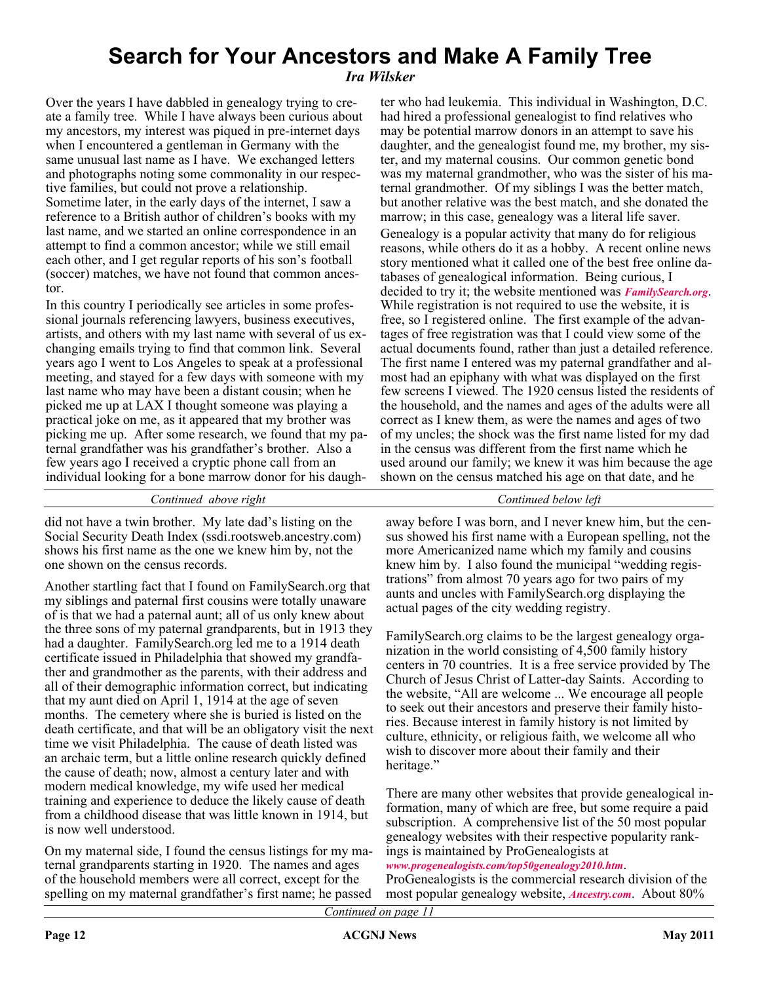# **Search for Your Ancestors and Make A Family Tree**

*Ira Wilsker*

Over the years I have dabbled in genealogy trying to create a family tree. While I have always been curious about my ancestors, my interest was piqued in pre-internet days when I encountered a gentleman in Germany with the same unusual last name as I have. We exchanged letters and photographs noting some commonality in our respective families, but could not prove a relationship. Sometime later, in the early days of the internet, I saw a reference to a British author of children's books with my last name, and we started an online correspondence in an attempt to find a common ancestor; while we still email each other, and I get regular reports of his son's football (soccer) matches, we have not found that common ancestor.

In this country I periodically see articles in some professional journals referencing lawyers, business executives, artists, and others with my last name with several of us exchanging emails trying to find that common link. Several years ago I went to Los Angeles to speak at a professional meeting, and stayed for a few days with someone with my last name who may have been a distant cousin; when he picked me up at LAX I thought someone was playing a practical joke on me, as it appeared that my brother was picking me up. After some research, we found that my paternal grandfather was his grandfather's brother. Also a few years ago I received a cryptic phone call from an individual looking for a bone marrow donor for his daugh-

*Continued above right Continued below left*

did not have a twin brother. My late dad's listing on the Social Security Death Index (ssdi.rootsweb.ancestry.com) shows his first name as the one we knew him by, not the one shown on the census records.

Another startling fact that I found on FamilySearch.org that my siblings and paternal first cousins were totally unaware of is that we had a paternal aunt; all of us only knew about the three sons of my paternal grandparents, but in 1913 they had a daughter. FamilySearch.org led me to a 1914 death certificate issued in Philadelphia that showed my grandfather and grandmother as the parents, with their address and all of their demographic information correct, but indicating that my aunt died on April 1, 1914 at the age of seven months. The cemetery where she is buried is listed on the death certificate, and that will be an obligatory visit the next time we visit Philadelphia. The cause of death listed was an archaic term, but a little online research quickly defined the cause of death; now, almost a century later and with modern medical knowledge, my wife used her medical training and experience to deduce the likely cause of death from a childhood disease that was little known in 1914, but is now well understood.

On my maternal side, I found the census listings for my maternal grandparents starting in 1920. The names and ages of the household members were all correct, except for the spelling on my maternal grandfather's first name; he passed

ter who had leukemia. This individual in Washington, D.C. had hired a professional genealogist to find relatives who may be potential marrow donors in an attempt to save his daughter, and the genealogist found me, my brother, my sister, and my maternal cousins. Our common genetic bond was my maternal grandmother, who was the sister of his maternal grandmother. Of my siblings I was the better match, but another relative was the best match, and she donated the marrow; in this case, genealogy was a literal life saver. Genealogy is a popular activity that many do for religious reasons, while others do it as a hobby. A recent online news story mentioned what it called one of the best free online databases of genealogical information. Being curious, I decided to try it; the website mentioned was *[FamilySearch.org](http://FamilySearch.org)*. While registration is not required to use the website, it is free, so I registered online. The first example of the advantages of free registration was that I could view some of the actual documents found, rather than just a detailed reference. The first name I entered was my paternal grandfather and almost had an epiphany with what was displayed on the first few screens I viewed. The 1920 census listed the residents of the household, and the names and ages of the adults were all correct as I knew them, as were the names and ages of two of my uncles; the shock was the first name listed for my dad in the census was different from the first name which he used around our family; we knew it was him because the age shown on the census matched his age on that date, and he

away before I was born, and I never knew him, but the census showed his first name with a European spelling, not the more Americanized name which my family and cousins knew him by. I also found the municipal "wedding registrations" from almost 70 years ago for two pairs of my aunts and uncles with FamilySearch.org displaying the actual pages of the city wedding registry.

FamilySearch.org claims to be the largest genealogy organization in the world consisting of 4,500 family history centers in 70 countries. It is a free service provided by The Church of Jesus Christ of Latter-day Saints. According to the website, "All are welcome ... We encourage all people to seek out their ancestors and preserve their family histories. Because interest in family history is not limited by culture, ethnicity, or religious faith, we welcome all who wish to discover more about their family and their heritage."

There are many other websites that provide genealogical information, many of which are free, but some require a paid subscription. A comprehensive list of the 50 most popular genealogy websites with their respective popularity rankings is maintained by ProGenealogists at

#### *[www.progenealogists.com/top50genealogy2010.htm](http://www.progenealogists.com/top50genealogy2010.htm)*.

ProGenealogists is the commercial research division of the most popular genealogy website, *[Ancestry.com](http://Ancestry.com)*. About 80%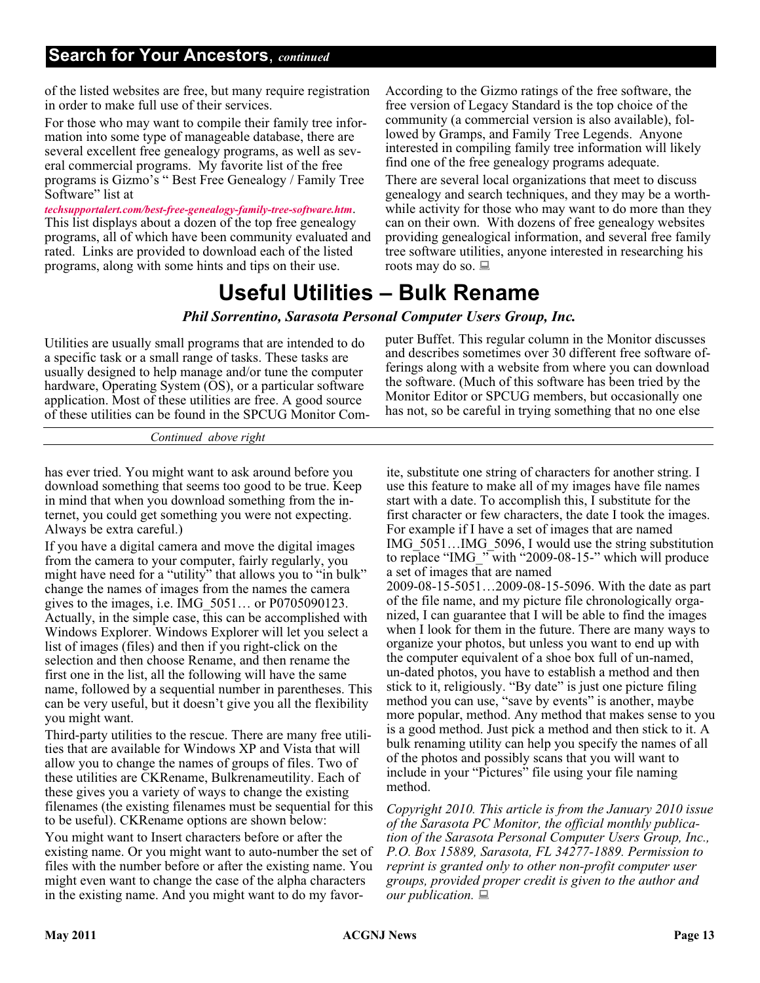of the listed websites are free, but many require registration in order to make full use of their services.

For those who may want to compile their family tree information into some type of manageable database, there are several excellent free genealogy programs, as well as several commercial programs. My favorite list of the free programs is Gizmo's " Best Free Genealogy / Family Tree Software" list at

*[techsupportalert.com/best-free-genealogy-family-tree-software.htm](http://www.techsupportalert.com/best-free-genealogy-family-tree-software.htm)*. This list displays about a dozen of the top free genealogy programs, all of which have been community evaluated and rated. Links are provided to download each of the listed programs, along with some hints and tips on their use.

According to the Gizmo ratings of the free software, the free version of Legacy Standard is the top choice of the community (a commercial version is also available), followed by Gramps, and Family Tree Legends. Anyone interested in compiling family tree information will likely find one of the free genealogy programs adequate.

There are several local organizations that meet to discuss genealogy and search techniques, and they may be a worthwhile activity for those who may want to do more than they can on their own. With dozens of free genealogy websites providing genealogical information, and several free family tree software utilities, anyone interested in researching his roots may do so. **■** 

# **Useful Utilities – Bulk Rename**

#### *Phil Sorrentino, Sarasota Personal Computer Users Group, Inc.*

Utilities are usually small programs that are intended to do a specific task or a small range of tasks. These tasks are usually designed to help manage and/or tune the computer hardware, Operating System (OS), or a particular software application. Most of these utilities are free. A good source of these utilities can be found in the SPCUG Monitor Computer Buffet. This regular column in the Monitor discusses and describes sometimes over 30 different free software offerings along with a website from where you can download the software. (Much of this software has been tried by the Monitor Editor or SPCUG members, but occasionally one has not, so be careful in trying something that no one else

*Continued above right*

has ever tried. You might want to ask around before you download something that seems too good to be true. Keep in mind that when you download something from the internet, you could get something you were not expecting. Always be extra careful.)

If you have a digital camera and move the digital images from the camera to your computer, fairly regularly, you might have need for a "utility" that allows you to "in bulk" change the names of images from the names the camera gives to the images, i.e. IMG\_5051… or P0705090123. Actually, in the simple case, this can be accomplished with Windows Explorer. Windows Explorer will let you select a list of images (files) and then if you right-click on the selection and then choose Rename, and then rename the first one in the list, all the following will have the same name, followed by a sequential number in parentheses. This can be very useful, but it doesn't give you all the flexibility you might want.

Third-party utilities to the rescue. There are many free utilities that are available for Windows XP and Vista that will allow you to change the names of groups of files. Two of these utilities are CKRename, Bulkrenameutility. Each of these gives you a variety of ways to change the existing filenames (the existing filenames must be sequential for this to be useful). CKRename options are shown below:

You might want to Insert characters before or after the existing name. Or you might want to auto-number the set of files with the number before or after the existing name. You might even want to change the case of the alpha characters in the existing name. And you might want to do my favorite, substitute one string of characters for another string. I use this feature to make all of my images have file names start with a date. To accomplish this, I substitute for the first character or few characters, the date I took the images. For example if I have a set of images that are named IMG\_5051…IMG\_5096, I would use the string substitution to replace "IMG\_" with "2009-08-15-" which will produce a set of images that are named 2009-08-15-5051…2009-08-15-5096. With the date as part of the file name, and my picture file chronologically orga-

nized, I can guarantee that I will be able to find the images when I look for them in the future. There are many ways to organize your photos, but unless you want to end up with the computer equivalent of a shoe box full of un-named, un-dated photos, you have to establish a method and then stick to it, religiously. "By date" is just one picture filing method you can use, "save by events" is another, maybe more popular, method. Any method that makes sense to you is a good method. Just pick a method and then stick to it. A bulk renaming utility can help you specify the names of all of the photos and possibly scans that you will want to include in your "Pictures" file using your file naming method.

*Copyright 2010. This article is from the January 2010 issue of the Sarasota PC Monitor, the official monthly publication of the Sarasota Personal Computer Users Group, Inc., P.O. Box 15889, Sarasota, FL 34277-1889. Permission to reprint is granted only to other non-profit computer user groups, provided proper credit is given to the author and our publication.*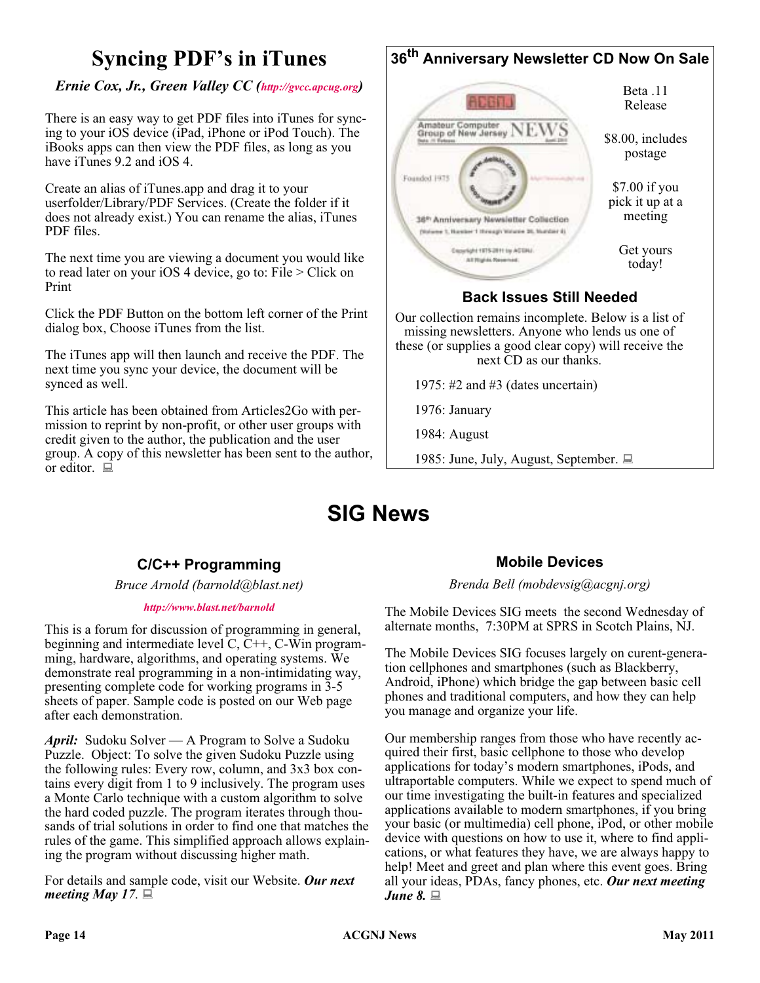# **Syncing PDF's in iTunes**

#### *Ernie Cox, Jr., Green Valley CC [\(http://gvcc.apcug.org\)](http://gvcc.apcug.org)*

There is an easy way to get PDF files into iTunes for syncing to your iOS device (iPad, iPhone or iPod Touch). The iBooks apps can then view the PDF files, as long as you have iTunes 9.2 and iOS 4.

Create an alias of iTunes.app and drag it to your userfolder/Library/PDF Services. (Create the folder if it does not already exist.) You can rename the alias, iTunes PDF files.

The next time you are viewing a document you would like to read later on your iOS 4 device, go to: File > Click on Print

Click the PDF Button on the bottom left corner of the Print dialog box, Choose iTunes from the list.

The iTunes app will then launch and receive the PDF. The next time you sync your device, the document will be synced as well.

This article has been obtained from Articles2Go with permission to reprint by non-profit, or other user groups with credit given to the author, the publication and the user group. A copy of this newsletter has been sent to the author, or editor.  $\Box$ 



these (or supplies a good clear copy) will receive the next CD as our thanks.

1975: #2 and #3 (dates uncertain)

1976: January

1984: August

1985: June, July, August, September.

# **SIG News**

### **C/C++ Programming**

*Bruce Arnold (barnold@blast.net)*

#### *<http://www.blast.net/barnold>*

This is a forum for discussion of programming in general, beginning and intermediate level  $C, C++, C-W$  in programming, hardware, algorithms, and operating systems. We demonstrate real programming in a non-intimidating way, presenting complete code for working programs in 3-5 sheets of paper. Sample code is posted on our Web page after each demonstration.

*April:* Sudoku Solver — A Program to Solve a Sudoku Puzzle. Object: To solve the given Sudoku Puzzle using the following rules: Every row, column, and 3x3 box contains every digit from 1 to 9 inclusively. The program uses a Monte Carlo technique with a custom algorithm to solve the hard coded puzzle. The program iterates through thousands of trial solutions in order to find one that matches the rules of the game. This simplified approach allows explaining the program without discussing higher math.

For details and sample code, visit our Website. *Our next meeting May 17*.

### **Mobile Devices**

*Brenda Bell (mobdevsig@acgnj.org)*

The Mobile Devices SIG meets the second Wednesday of alternate months, 7:30PM at SPRS in Scotch Plains, NJ.

The Mobile Devices SIG focuses largely on curent-generation cellphones and smartphones (such as Blackberry, Android, iPhone) which bridge the gap between basic cell phones and traditional computers, and how they can help you manage and organize your life.

Our membership ranges from those who have recently acquired their first, basic cellphone to those who develop applications for today's modern smartphones, iPods, and ultraportable computers. While we expect to spend much of our time investigating the built-in features and specialized applications available to modern smartphones, if you bring your basic (or multimedia) cell phone, iPod, or other mobile device with questions on how to use it, where to find applications, or what features they have, we are always happy to help! Meet and greet and plan where this event goes. Bring all your ideas, PDAs, fancy phones, etc. *Our next meeting June 8.*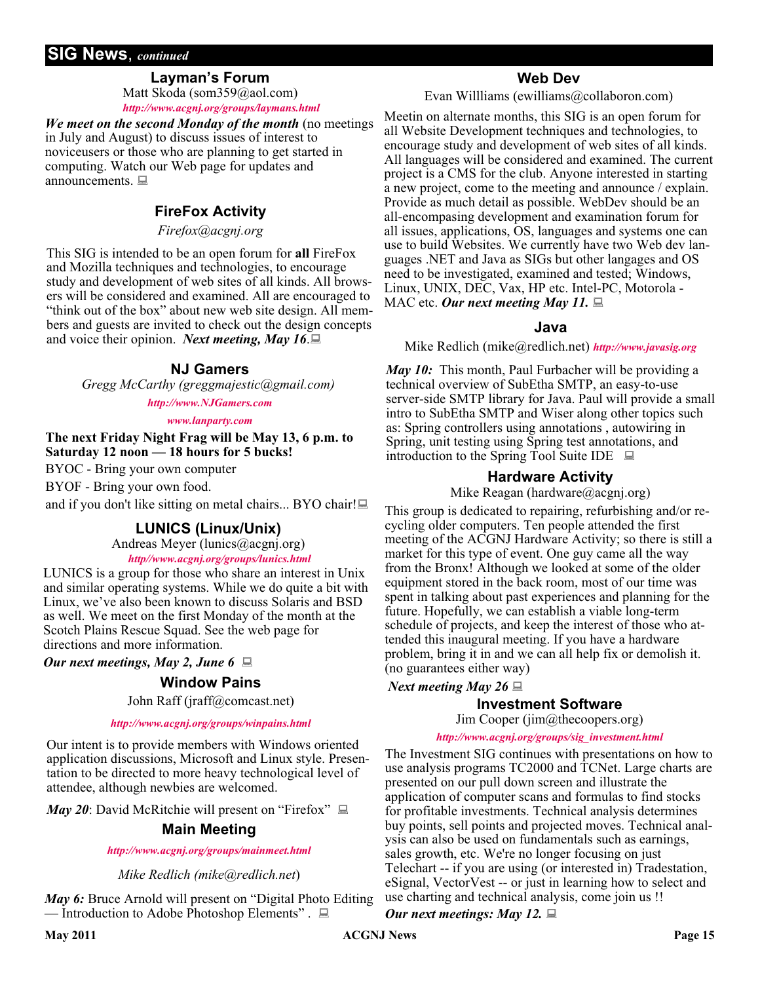### **SIG News**, *continued*

#### **Layman's Forum**

Matt Skoda (som359@aol.com) *<http://www.acgnj.org/groups/laymans.html>*

*We meet on the second Monday of the month* (no meetings in July and August) to discuss issues of interest to noviceusers or those who are planning to get started in computing. Watch our Web page for updates and announcements.  $\Box$ 

### **FireFox Activity**

*Firefox@acgnj.org*

This SIG is intended to be an open forum for **all** FireFox and Mozilla techniques and technologies, to encourage study and development of web sites of all kinds. All browsers will be considered and examined. All are encouraged to "think out of the box" about new web site design. All members and guests are invited to check out the design concepts and voice their opinion. *Next meeting, May 16*.

#### **NJ Gamers**

*Gregg McCarthy (greggmajestic@gmail.com)*

*<http://www.NJGamers.com>*

*[www.lanparty.com](http://www.lanparty.com)*

**The next Friday Night Frag will be May 13, 6 p.m. to Saturday 12 noon — 18 hours for 5 bucks!**

BYOC - Bring your own computer

BYOF - Bring your own food.

and if you don't like sitting on metal chairs... BYO chair!

#### **LUNICS (Linux/Unix)**

Andreas Meyer (lunics@acgnj.org)

*<http//www.acgnj.org/groups/lunics.html>*

LUNICS is a group for those who share an interest in Unix and similar operating systems. While we do quite a bit with Linux, we've also been known to discuss Solaris and BSD as well. We meet on the first Monday of the month at the Scotch Plains Rescue Squad. See the web page for directions and more information.

*Our next meetings, May 2, June 6*

#### **Window Pains**

John Raff (jraff@comcast.net)

#### *<http://www.acgnj.org/groups/winpains.html>*

Our intent is to provide members with Windows oriented application discussions, Microsoft and Linux style. Presentation to be directed to more heavy technological level of attendee, although newbies are welcomed.

*May 20*: David McRitchie will present on "Firefox"  $\Box$ 

#### **Main Meeting**

#### *<http://www.acgnj.org/groups/mainmeet.html>*

*Mike Redlich (mike@redlich.net*)

*May 6:* Bruce Arnold will present on "Digital Photo Editing — Introduction to Adobe Photoshop Elements" .

#### **Web Dev**

Evan Willliams (ewilliams@collaboron.com)

Meetin on alternate months, this SIG is an open forum for all Website Development techniques and technologies, to encourage study and development of web sites of all kinds. All languages will be considered and examined. The current project is a CMS for the club. Anyone interested in starting a new project, come to the meeting and announce / explain. Provide as much detail as possible. WebDev should be an all-encompasing development and examination forum for all issues, applications, OS, languages and systems one can use to build Websites. We currently have two Web dev languages .NET and Java as SIGs but other langages and OS need to be investigated, examined and tested; Windows, Linux, UNIX, DEC, Vax, HP etc. Intel-PC, Motorola - MAC etc. Our next meeting May 11.

#### **Java**

Mike Redlich (mike@redlich.net) *<http://www.javasig.org>*

*May 10:* This month, Paul Furbacher will be providing a technical overview of SubEtha SMTP, an easy-to-use server-side SMTP library for Java. Paul will provide a small intro to SubEtha SMTP and Wiser along other topics such as: Spring controllers using annotations , autowiring in Spring, unit testing using Spring test annotations, and introduction to the Spring Tool Suite IDE  $\Box$ 

#### **Hardware Activity**

Mike Reagan (hardware@acgnj.org)

This group is dedicated to repairing, refurbishing and/or recycling older computers. Ten people attended the first meeting of the ACGNJ Hardware Activity; so there is still a market for this type of event. One guy came all the way from the Bronx! Although we looked at some of the older equipment stored in the back room, most of our time was spent in talking about past experiences and planning for the future. Hopefully, we can establish a viable long-term schedule of projects, and keep the interest of those who attended this inaugural meeting. If you have a hardware problem, bring it in and we can all help fix or demolish it. (no guarantees either way)

*Next meeting May 26*

#### **Investment Software**

Jim Cooper (jim@thecoopers.org)

#### *[http://www.acgnj.org/groups/sig\\_investment.html](http://www.acgnj.org/groups/sig_investment.html)*

The Investment SIG continues with presentations on how to use analysis programs TC2000 and TCNet. Large charts are presented on our pull down screen and illustrate the application of computer scans and formulas to find stocks for profitable investments. Technical analysis determines buy points, sell points and projected moves. Technical analysis can also be used on fundamentals such as earnings, sales growth, etc. We're no longer focusing on just Telechart -- if you are using (or interested in) Tradestation, eSignal, VectorVest -- or just in learning how to select and use charting and technical analysis, come join us !!

*Our next meetings: May 12.*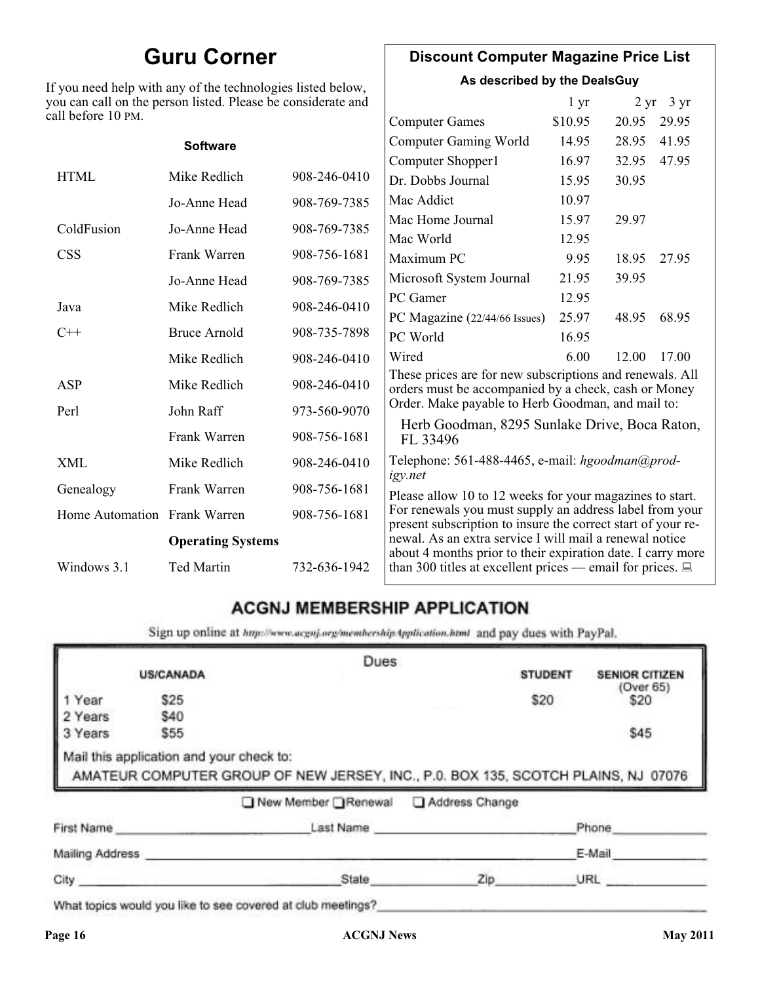# **Guru Corner**

If you need help with any of the technologies listed below, you can call on the person listed. Please be considerate and ca

### **Discount Computer Magazine Price List**

**As described by the DealsGuy**

| ou can call on the person listed. Please be considerate and<br>ll before 10 PM. |                          |              |                                                                                                                         | 1 <sub>yr</sub> |       | $2 \text{ yr}$ 3 yr |
|---------------------------------------------------------------------------------|--------------------------|--------------|-------------------------------------------------------------------------------------------------------------------------|-----------------|-------|---------------------|
|                                                                                 |                          |              | <b>Computer Games</b>                                                                                                   | \$10.95         | 20.95 | 29.95               |
|                                                                                 | <b>Software</b>          |              | <b>Computer Gaming World</b>                                                                                            | 14.95           | 28.95 | 41.95               |
|                                                                                 |                          |              | Computer Shopper1                                                                                                       | 16.97           | 32.95 | 47.95               |
| <b>HTML</b>                                                                     | Mike Redlich             | 908-246-0410 | Dr. Dobbs Journal                                                                                                       | 15.95           | 30.95 |                     |
|                                                                                 | Jo-Anne Head             | 908-769-7385 | Mac Addict                                                                                                              | 10.97           |       |                     |
| ColdFusion                                                                      | Jo-Anne Head             | 908-769-7385 | Mac Home Journal                                                                                                        | 15.97           | 29.97 |                     |
|                                                                                 |                          |              | Mac World                                                                                                               | 12.95           |       |                     |
| <b>CSS</b>                                                                      | Frank Warren             | 908-756-1681 | Maximum PC                                                                                                              | 9.95            | 18.95 | 27.95               |
|                                                                                 | Jo-Anne Head             | 908-769-7385 | Microsoft System Journal                                                                                                | 21.95           | 39.95 |                     |
| Java                                                                            | Mike Redlich             | 908-246-0410 | PC Gamer                                                                                                                | 12.95           |       |                     |
|                                                                                 |                          |              | PC Magazine (22/44/66 Issues)                                                                                           | 25.97           | 48.95 | 68.95               |
| $C++$                                                                           | <b>Bruce Arnold</b>      | 908-735-7898 | PC World                                                                                                                | 16.95           |       |                     |
|                                                                                 | Mike Redlich             | 908-246-0410 | Wired                                                                                                                   | 6.00            | 12.00 | 17.00               |
| ASP                                                                             | Mike Redlich             | 908-246-0410 | These prices are for new subscriptions and renewals. All<br>orders must be accompanied by a check, cash or Money        |                 |       |                     |
| Perl                                                                            | John Raff                | 973-560-9070 | Order. Make payable to Herb Goodman, and mail to:                                                                       |                 |       |                     |
|                                                                                 | Frank Warren             | 908-756-1681 | Herb Goodman, 8295 Sunlake Drive, Boca Raton,<br>FL 33496                                                               |                 |       |                     |
| XML                                                                             | Mike Redlich             | 908-246-0410 | Telephone: 561-488-4465, e-mail: hgoodman@prod-<br>igy.net                                                              |                 |       |                     |
| Genealogy                                                                       | Frank Warren             | 908-756-1681 | Please allow 10 to 12 weeks for your magazines to start.                                                                |                 |       |                     |
| Home Automation Frank Warren                                                    |                          | 908-756-1681 | For renewals you must supply an address label from your<br>present subscription to insure the correct start of your re- |                 |       |                     |
|                                                                                 | <b>Operating Systems</b> |              | newal. As an extra service I will mail a renewal notice<br>about 4 months prior to their expiration date. I carry more  |                 |       |                     |
| Windows 3.1                                                                     | Ted Martin               | 732-636-1942 | than 300 titles at excellent prices — email for prices. $\Box$                                                          |                 |       |                     |

### **ACGNJ MEMBERSHIP APPLICATION**

Sign up online at http://www.acguj.org/membershipApplication.html and pay dues with PayPal.

|                 |                                          | Dues                                                                              |           |                |                       |
|-----------------|------------------------------------------|-----------------------------------------------------------------------------------|-----------|----------------|-----------------------|
|                 | <b>US/CANADA</b>                         |                                                                                   |           | <b>STUDENT</b> | <b>SENIOR CITIZEN</b> |
| 1 Year          | \$25                                     |                                                                                   |           | \$20           | (Over 65)<br>\$20     |
| 2 Years         | \$40                                     |                                                                                   |           |                |                       |
| 3 Years         | \$55                                     |                                                                                   |           |                | \$45                  |
|                 | Mail this application and your check to: | AMATEUR COMPUTER GROUP OF NEW JERSEY, INC., P.0. BOX 135, SCOTCH PLAINS, NJ 07076 |           |                |                       |
|                 |                                          | New Member Renewal Address Change                                                 |           |                |                       |
|                 | First Name                               |                                                                                   | Last Name |                | Phone                 |
| Mailing Address |                                          |                                                                                   |           |                | E-Mail                |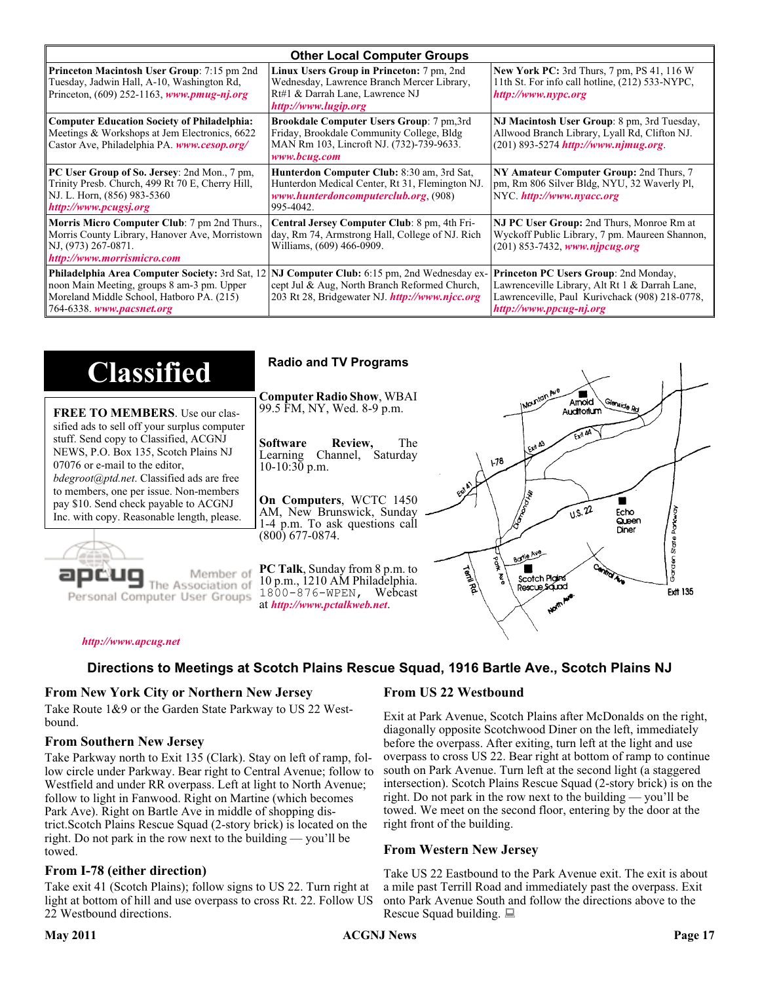| <b>Other Local Computer Groups</b>                                                                                                                                             |                                                                                                                                                           |                                                                                                                                                                      |  |  |
|--------------------------------------------------------------------------------------------------------------------------------------------------------------------------------|-----------------------------------------------------------------------------------------------------------------------------------------------------------|----------------------------------------------------------------------------------------------------------------------------------------------------------------------|--|--|
| <b>Princeton Macintosh User Group:</b> 7:15 pm 2nd<br>Tuesday, Jadwin Hall, A-10, Washington Rd,<br>Princeton, $(609)$ 252-1163, www.pmug-nj.org                               | Linux Users Group in Princeton: 7 pm, 2nd<br>Wednesday, Lawrence Branch Mercer Library,<br>Rt#1 & Darrah Lane, Lawrence NJ<br>http://www.lugip.org        | <b>New York PC:</b> 3rd Thurs, 7 pm, PS 41, 116 W<br>11th St. For info call hotline, (212) 533-NYPC,<br>http://www.nypc.org                                          |  |  |
| <b>Computer Education Society of Philadelphia:</b><br>Meetings & Workshops at Jem Electronics, 6622<br>Castor Ave, Philadelphia PA. www.cesop.org/                             | <b>Brookdale Computer Users Group:</b> 7 pm, 3rd<br>Friday, Brookdale Community College, Bldg<br>MAN Rm 103, Lincroft NJ. (732)-739-9633.<br>www.bcug.com | NJ Macintosh User Group: 8 pm, 3rd Tuesday,<br>Allwood Branch Library, Lyall Rd, Clifton NJ.<br>$(201) 893 - 5274$ http://www.njmug.org.                             |  |  |
| PC User Group of So. Jersey: 2nd Mon., 7 pm,<br>Trinity Presb. Church, 499 Rt 70 E, Cherry Hill,<br>NJ. L. Horn, (856) 983-5360<br>http://www.pcugsj.org                       | Hunterdon Computer Club: 8:30 am, 3rd Sat,<br>Hunterdon Medical Center, Rt 31, Flemington NJ.<br>www.hunterdoncomputerclub.org. (908)<br>995-4042.        | NY Amateur Computer Group: 2nd Thurs, 7<br>pm, Rm 806 Silver Bldg, NYU, 32 Waverly Pl,<br>NYC http://www.nyacc.org                                                   |  |  |
| Morris Micro Computer Club: 7 pm 2nd Thurs.,<br>Morris County Library, Hanover Ave, Morristown<br>NJ, (973) 267-0871.<br>http://www.morrismicro.com                            | Central Jersey Computer Club: 8 pm, 4th Fri-<br>day, Rm 74, Armstrong Hall, College of NJ. Rich<br>Williams, (609) 466-0909.                              | NJ PC User Group: 2nd Thurs, Monroe Rm at<br>Wyckoff Public Library, 7 pm. Maureen Shannon,<br>$(201)$ 853-7432, www.njpcug.org                                      |  |  |
| <b>Philadelphia Area Computer Society: 3rd Sat, 12</b><br>noon Main Meeting, groups 8 am-3 pm. Upper<br>Moreland Middle School, Hatboro PA. (215)<br>764-6338. www.pacsnet.org | NJ Computer Club: 6:15 pm, 2nd Wednesday ex-<br>cept Jul & Aug, North Branch Reformed Church,<br>203 Rt 28, Bridgewater NJ <i>http://www.njcc.org</i>     | Princeton PC Users Group: 2nd Monday,<br>Lawrenceville Library, Alt Rt 1 & Darrah Lane,<br>Lawrenceville, Paul Kurivchack (908) 218-0778,<br>http://www.ppcug-nj.org |  |  |

| <b>Classified</b>                                                                                                                                                                                                                                                                                                                                                                             | <b>Radio and TV Programs</b>                                                                                                                                                                                                                                                                                                                                           |
|-----------------------------------------------------------------------------------------------------------------------------------------------------------------------------------------------------------------------------------------------------------------------------------------------------------------------------------------------------------------------------------------------|------------------------------------------------------------------------------------------------------------------------------------------------------------------------------------------------------------------------------------------------------------------------------------------------------------------------------------------------------------------------|
| <b>FREE TO MEMBERS.</b> Use our clas-<br>sified ads to sell off your surplus computer<br>stuff. Send copy to Classified, ACGNJ<br>NEWS, P.O. Box 135, Scotch Plains NJ<br>07076 or e-mail to the editor,<br><i>bdegroot@ptd.net.</i> Classified ads are free<br>to members, one per issue. Non-members<br>pay \$10. Send check payable to ACGNJ<br>Inc. with copy. Reasonable length, please. | IMOUNTON AVE<br><b>Computer Radio Show, WBAI</b><br>Amold<br>Slenside Rd<br>99.5 FM, NY, Wed. 8-9 p.m.<br>Auditorium<br>The<br><b>Software</b><br>Review,<br>L Exit A3<br>Channel, Saturday<br>Learning<br>$\sqrt{3}$<br>$10-10:30$ p.m.<br>On Computers, WCTC 1450<br>0.5.22<br>AM, New Brunswick, Sunday<br>Echo<br>Queen<br>1-4 p.m. To ask questions call<br>Diner |
| Member of<br>ociation of<br>Personal Computer User Groups                                                                                                                                                                                                                                                                                                                                     | $(800)$ 677-0874.<br>ភូ<br>ភ្ន<br>Borle Ave<br>É<br><b>Cantrol Ave</b><br>PC Talk, Sunday from 8 p.m. to<br><b>Termited</b><br>Scotch Plains<br>10 p.m., 1210 AM Philadelphia.<br>Rescue Sound<br><b>Ext 135</b><br>1800-876-WPEN, Webcast<br>at http://www.pctalkweb.net.<br>$\mathbf{v}^{\mathbf{c}^{\prime}}$                                                       |

#### *<http://www.apcug.net>*

#### **Directions to Meetings at Scotch Plains Rescue Squad, 1916 Bartle Ave., Scotch Plains NJ**

#### **From New York City or Northern New Jersey**

Take Route 1&9 or the Garden State Parkway to US 22 Westbound.

#### **From Southern New Jersey**

Take Parkway north to Exit 135 (Clark). Stay on left of ramp, follow circle under Parkway. Bear right to Central Avenue; follow to Westfield and under RR overpass. Left at light to North Avenue; follow to light in Fanwood. Right on Martine (which becomes Park Ave). Right on Bartle Ave in middle of shopping district.Scotch Plains Rescue Squad (2-story brick) is located on the right. Do not park in the row next to the building — you'll be towed.

#### **From I-78 (either direction)**

Take exit 41 (Scotch Plains); follow signs to US 22. Turn right at light at bottom of hill and use overpass to cross Rt. 22. Follow US 22 Westbound directions.

#### **From US 22 Westbound**

Exit at Park Avenue, Scotch Plains after McDonalds on the right, diagonally opposite Scotchwood Diner on the left, immediately before the overpass. After exiting, turn left at the light and use overpass to cross US 22. Bear right at bottom of ramp to continue south on Park Avenue. Turn left at the second light (a staggered intersection). Scotch Plains Rescue Squad (2-story brick) is on the right. Do not park in the row next to the building — you'll be towed. We meet on the second floor, entering by the door at the right front of the building.

#### **From Western New Jersey**

Take US 22 Eastbound to the Park Avenue exit. The exit is about a mile past Terrill Road and immediately past the overpass. Exit onto Park Avenue South and follow the directions above to the Rescue Squad building.